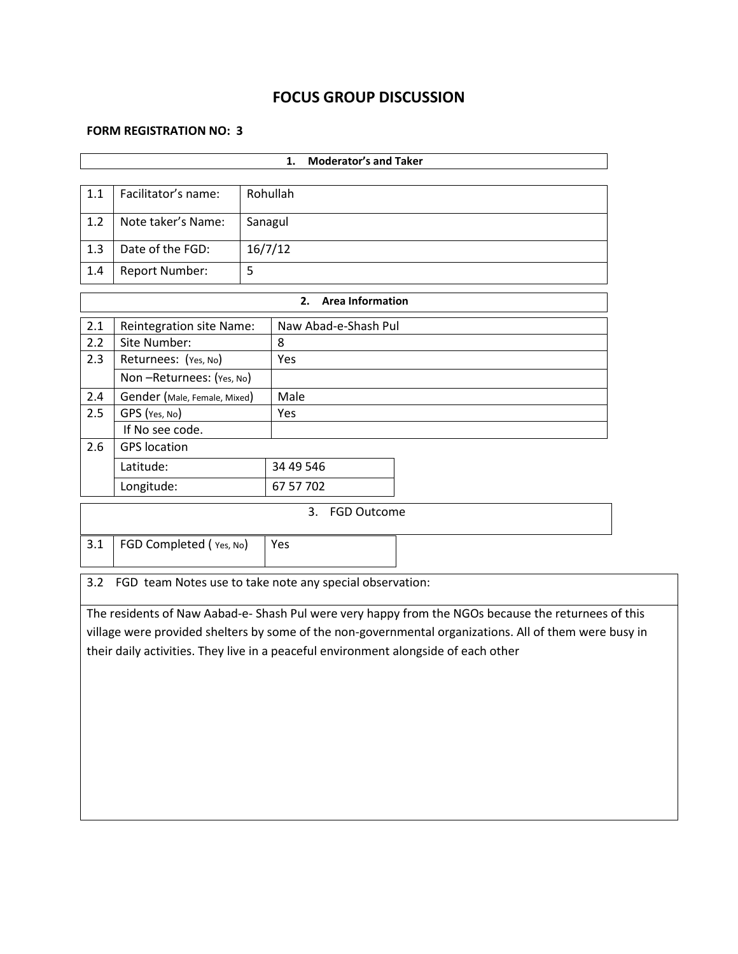# **FOCUS GROUP DISCUSSION**

### **FORM REGISTRATION NO: 3**

|                                                                                                        | <b>Moderator's and Taker</b><br>1.                       |         |                               |                                                                                                     |  |  |  |  |
|--------------------------------------------------------------------------------------------------------|----------------------------------------------------------|---------|-------------------------------|-----------------------------------------------------------------------------------------------------|--|--|--|--|
|                                                                                                        |                                                          |         |                               |                                                                                                     |  |  |  |  |
| 1.1                                                                                                    | Facilitator's name:                                      |         | Rohullah                      |                                                                                                     |  |  |  |  |
| 1.2                                                                                                    | Note taker's Name:                                       |         | Sanagul                       |                                                                                                     |  |  |  |  |
| 1.3                                                                                                    | Date of the FGD:                                         | 16/7/12 |                               |                                                                                                     |  |  |  |  |
| 1.4                                                                                                    | <b>Report Number:</b>                                    | 5       |                               |                                                                                                     |  |  |  |  |
|                                                                                                        |                                                          |         | <b>Area Information</b><br>2. |                                                                                                     |  |  |  |  |
| 2.1                                                                                                    | <b>Reintegration site Name:</b>                          |         | Naw Abad-e-Shash Pul          |                                                                                                     |  |  |  |  |
| 2.2                                                                                                    | Site Number:                                             |         | 8                             |                                                                                                     |  |  |  |  |
| 2.3                                                                                                    | Returnees: (Yes, No)                                     |         | Yes                           |                                                                                                     |  |  |  |  |
|                                                                                                        | Non-Returnees: (Yes, No)                                 |         |                               |                                                                                                     |  |  |  |  |
| 2.4                                                                                                    | Gender (Male, Female, Mixed)                             |         | Male                          |                                                                                                     |  |  |  |  |
| 2.5                                                                                                    | GPS (Yes, No)                                            |         | Yes                           |                                                                                                     |  |  |  |  |
|                                                                                                        | If No see code.                                          |         |                               |                                                                                                     |  |  |  |  |
| 2.6                                                                                                    | <b>GPS</b> location                                      |         |                               |                                                                                                     |  |  |  |  |
|                                                                                                        | Latitude:                                                |         | 34 49 546                     |                                                                                                     |  |  |  |  |
| Longitude:                                                                                             |                                                          |         | 67 57 702                     |                                                                                                     |  |  |  |  |
|                                                                                                        |                                                          |         | 3.<br><b>FGD Outcome</b>      |                                                                                                     |  |  |  |  |
| 3.1                                                                                                    | FGD Completed (Yes, No)                                  |         | Yes                           |                                                                                                     |  |  |  |  |
|                                                                                                        |                                                          |         |                               |                                                                                                     |  |  |  |  |
| 3.2                                                                                                    | FGD team Notes use to take note any special observation: |         |                               |                                                                                                     |  |  |  |  |
|                                                                                                        |                                                          |         |                               | The residents of Naw Aabad-e- Shash Pul were very happy from the NGOs because the returnees of this |  |  |  |  |
| village were provided shelters by some of the non-governmental organizations. All of them were busy in |                                                          |         |                               |                                                                                                     |  |  |  |  |
| their daily activities. They live in a peaceful environment alongside of each other                    |                                                          |         |                               |                                                                                                     |  |  |  |  |
|                                                                                                        |                                                          |         |                               |                                                                                                     |  |  |  |  |
|                                                                                                        |                                                          |         |                               |                                                                                                     |  |  |  |  |
|                                                                                                        |                                                          |         |                               |                                                                                                     |  |  |  |  |
|                                                                                                        |                                                          |         |                               |                                                                                                     |  |  |  |  |
|                                                                                                        |                                                          |         |                               |                                                                                                     |  |  |  |  |
|                                                                                                        |                                                          |         |                               |                                                                                                     |  |  |  |  |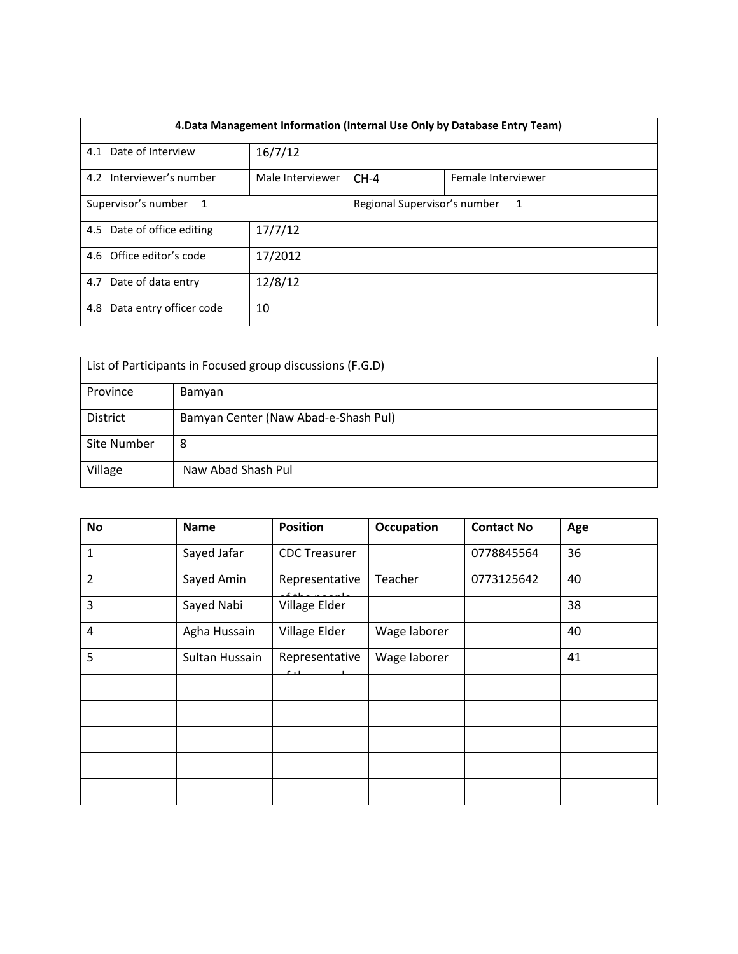| 4. Data Management Information (Internal Use Only by Database Entry Team) |                  |  |                              |                    |  |  |  |
|---------------------------------------------------------------------------|------------------|--|------------------------------|--------------------|--|--|--|
| 4.1 Date of Interview<br>16/7/12                                          |                  |  |                              |                    |  |  |  |
| 4.2 Interviewer's number                                                  | Male Interviewer |  |                              | Female Interviewer |  |  |  |
| Supervisor's number<br>1                                                  |                  |  | Regional Supervisor's number | 1                  |  |  |  |
| 4.5 Date of office editing                                                | 17/7/12          |  |                              |                    |  |  |  |
| 4.6 Office editor's code                                                  | 17/2012          |  |                              |                    |  |  |  |
| 4.7 Date of data entry                                                    | 12/8/12          |  |                              |                    |  |  |  |
| Data entry officer code<br>4.8                                            | 10               |  |                              |                    |  |  |  |

| List of Participants in Focused group discussions (F.G.D) |                                      |  |  |  |
|-----------------------------------------------------------|--------------------------------------|--|--|--|
| Province<br>Bamyan                                        |                                      |  |  |  |
| <b>District</b>                                           | Bamyan Center (Naw Abad-e-Shash Pul) |  |  |  |
| Site Number                                               | 8                                    |  |  |  |
| Village                                                   | Naw Abad Shash Pul                   |  |  |  |

| No             | <b>Name</b>    | <b>Position</b>           | <b>Occupation</b> | <b>Contact No</b> | Age |
|----------------|----------------|---------------------------|-------------------|-------------------|-----|
| $\mathbf{1}$   | Sayed Jafar    | <b>CDC Treasurer</b>      |                   | 0778845564        | 36  |
| $\overline{2}$ | Sayed Amin     | Representative            | Teacher           | 0773125642        | 40  |
| 3              | Sayed Nabi     | Village Elder             |                   |                   | 38  |
| 4              | Agha Hussain   | Village Elder             | Wage laborer      |                   | 40  |
| 5              | Sultan Hussain | Representative<br>$L = L$ | Wage laborer      |                   | 41  |
|                |                |                           |                   |                   |     |
|                |                |                           |                   |                   |     |
|                |                |                           |                   |                   |     |
|                |                |                           |                   |                   |     |
|                |                |                           |                   |                   |     |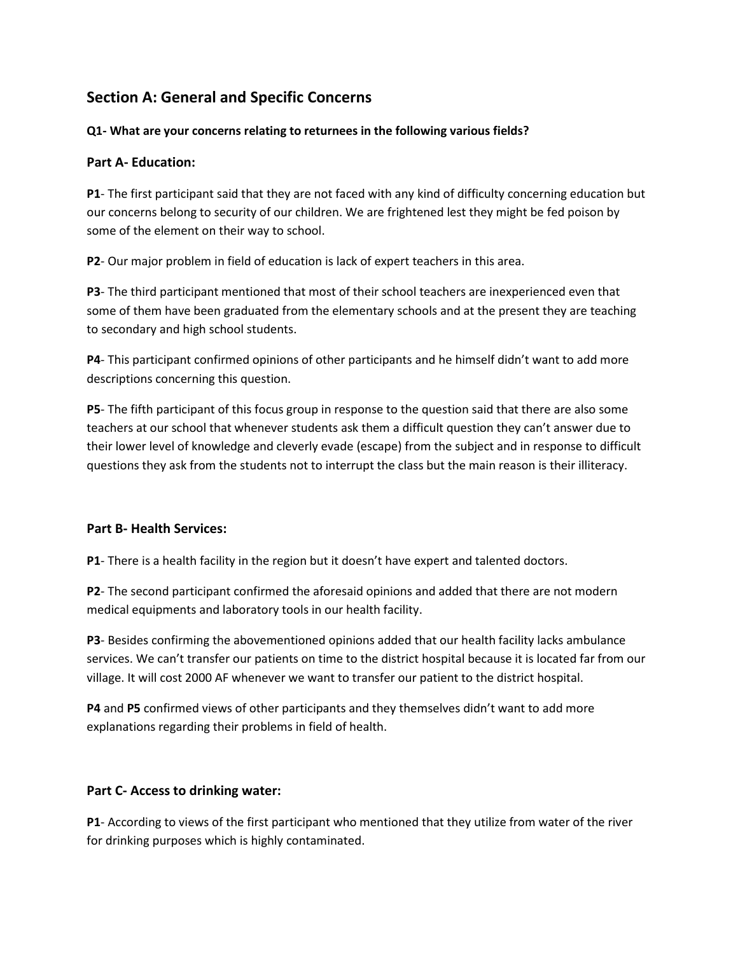# **Section A: General and Specific Concerns**

# **Q1- What are your concerns relating to returnees in the following various fields?**

# **Part A- Education:**

**P1**- The first participant said that they are not faced with any kind of difficulty concerning education but our concerns belong to security of our children. We are frightened lest they might be fed poison by some of the element on their way to school.

**P2**- Our major problem in field of education is lack of expert teachers in this area.

**P3**- The third participant mentioned that most of their school teachers are inexperienced even that some of them have been graduated from the elementary schools and at the present they are teaching to secondary and high school students.

**P4**- This participant confirmed opinions of other participants and he himself didn't want to add more descriptions concerning this question.

**P5**- The fifth participant of this focus group in response to the question said that there are also some teachers at our school that whenever students ask them a difficult question they can't answer due to their lower level of knowledge and cleverly evade (escape) from the subject and in response to difficult questions they ask from the students not to interrupt the class but the main reason is their illiteracy.

# **Part B- Health Services:**

**P1**- There is a health facility in the region but it doesn't have expert and talented doctors.

**P2**- The second participant confirmed the aforesaid opinions and added that there are not modern medical equipments and laboratory tools in our health facility.

**P3**- Besides confirming the abovementioned opinions added that our health facility lacks ambulance services. We can't transfer our patients on time to the district hospital because it is located far from our village. It will cost 2000 AF whenever we want to transfer our patient to the district hospital.

**P4** and **P5** confirmed views of other participants and they themselves didn't want to add more explanations regarding their problems in field of health.

### **Part C- Access to drinking water:**

**P1**- According to views of the first participant who mentioned that they utilize from water of the river for drinking purposes which is highly contaminated.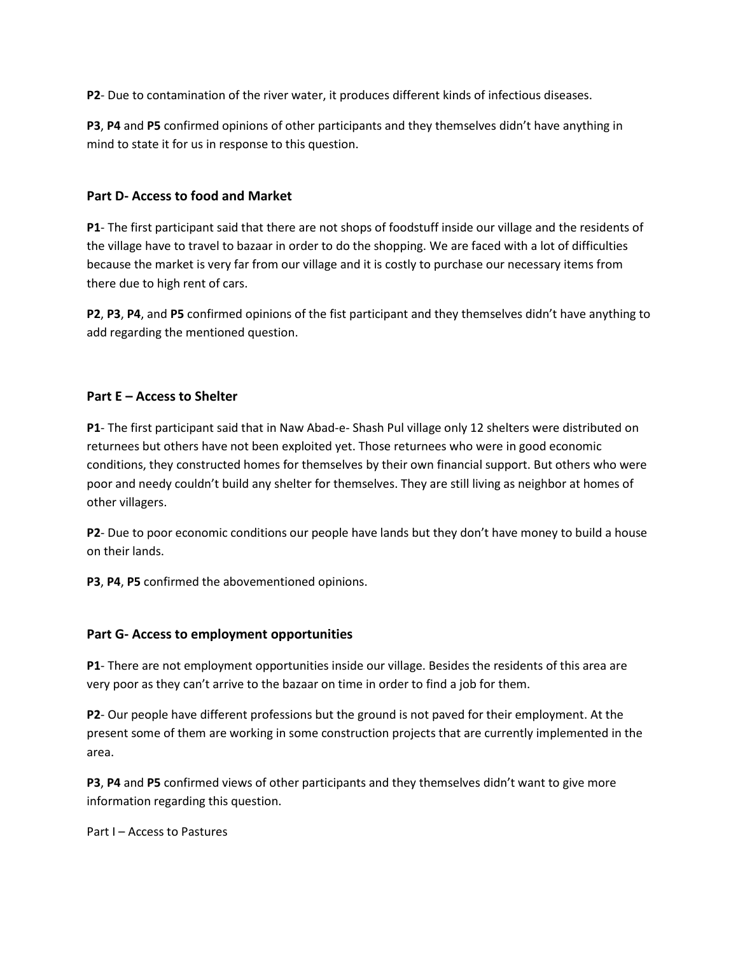**P2**- Due to contamination of the river water, it produces different kinds of infectious diseases.

**P3**, **P4** and **P5** confirmed opinions of other participants and they themselves didn't have anything in mind to state it for us in response to this question.

# **Part D- Access to food and Market**

**P1**- The first participant said that there are not shops of foodstuff inside our village and the residents of the village have to travel to bazaar in order to do the shopping. We are faced with a lot of difficulties because the market is very far from our village and it is costly to purchase our necessary items from there due to high rent of cars.

**P2**, **P3**, **P4**, and **P5** confirmed opinions of the fist participant and they themselves didn't have anything to add regarding the mentioned question.

# **Part E – Access to Shelter**

**P1**- The first participant said that in Naw Abad-e- Shash Pul village only 12 shelters were distributed on returnees but others have not been exploited yet. Those returnees who were in good economic conditions, they constructed homes for themselves by their own financial support. But others who were poor and needy couldn't build any shelter for themselves. They are still living as neighbor at homes of other villagers.

**P2**- Due to poor economic conditions our people have lands but they don't have money to build a house on their lands.

**P3**, **P4**, **P5** confirmed the abovementioned opinions.

# **Part G- Access to employment opportunities**

**P1**- There are not employment opportunities inside our village. Besides the residents of this area are very poor as they can't arrive to the bazaar on time in order to find a job for them.

**P2**- Our people have different professions but the ground is not paved for their employment. At the present some of them are working in some construction projects that are currently implemented in the area.

**P3**, **P4** and **P5** confirmed views of other participants and they themselves didn't want to give more information regarding this question.

Part I – Access to Pastures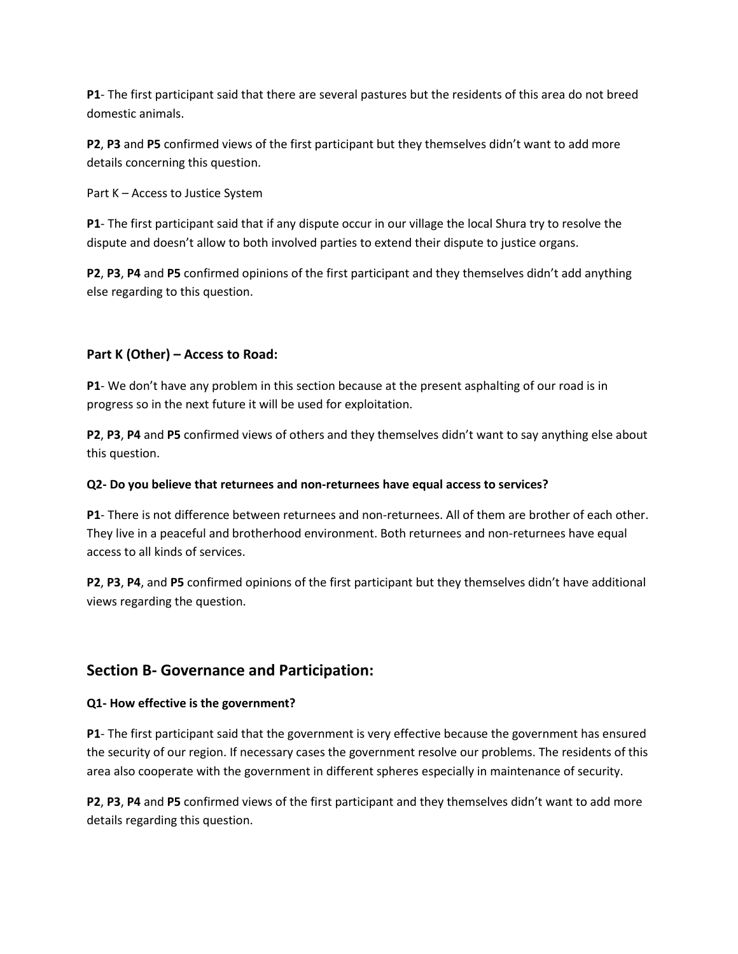**P1**- The first participant said that there are several pastures but the residents of this area do not breed domestic animals.

**P2**, **P3** and **P5** confirmed views of the first participant but they themselves didn't want to add more details concerning this question.

Part K – Access to Justice System

**P1**- The first participant said that if any dispute occur in our village the local Shura try to resolve the dispute and doesn't allow to both involved parties to extend their dispute to justice organs.

**P2**, **P3**, **P4** and **P5** confirmed opinions of the first participant and they themselves didn't add anything else regarding to this question.

# **Part K (Other) – Access to Road:**

**P1**- We don't have any problem in this section because at the present asphalting of our road is in progress so in the next future it will be used for exploitation.

**P2**, **P3**, **P4** and **P5** confirmed views of others and they themselves didn't want to say anything else about this question.

# **Q2- Do you believe that returnees and non-returnees have equal access to services?**

**P1**- There is not difference between returnees and non-returnees. All of them are brother of each other. They live in a peaceful and brotherhood environment. Both returnees and non-returnees have equal access to all kinds of services.

**P2**, **P3**, **P4**, and **P5** confirmed opinions of the first participant but they themselves didn't have additional views regarding the question.

# **Section B- Governance and Participation:**

# **Q1- How effective is the government?**

**P1**- The first participant said that the government is very effective because the government has ensured the security of our region. If necessary cases the government resolve our problems. The residents of this area also cooperate with the government in different spheres especially in maintenance of security.

**P2**, **P3**, **P4** and **P5** confirmed views of the first participant and they themselves didn't want to add more details regarding this question.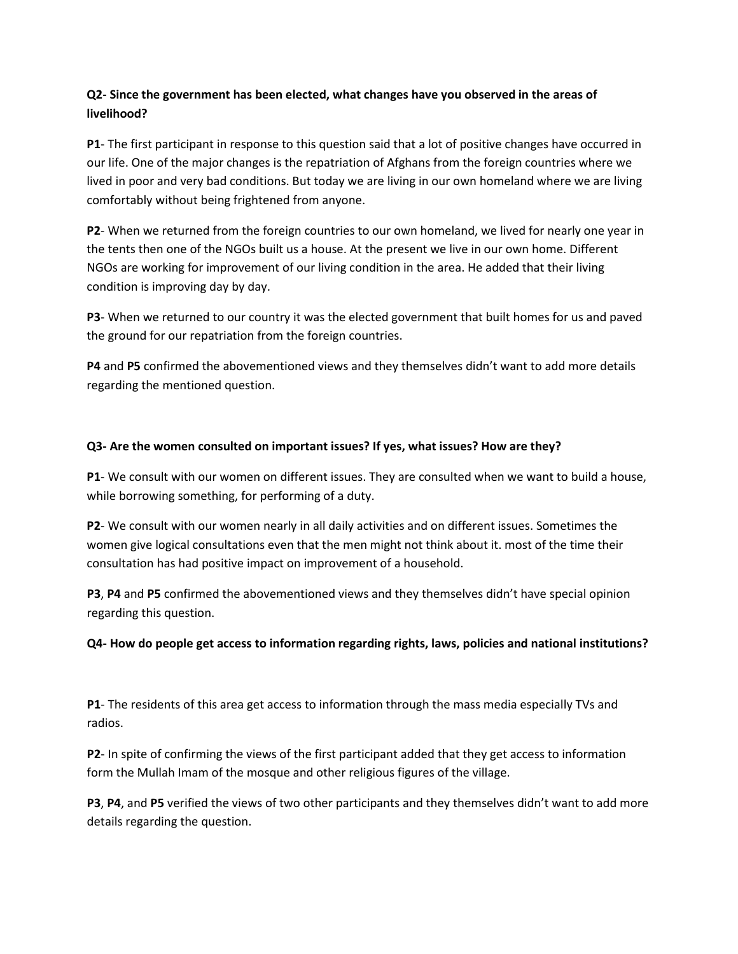# **Q2- Since the government has been elected, what changes have you observed in the areas of livelihood?**

**P1**- The first participant in response to this question said that a lot of positive changes have occurred in our life. One of the major changes is the repatriation of Afghans from the foreign countries where we lived in poor and very bad conditions. But today we are living in our own homeland where we are living comfortably without being frightened from anyone.

**P2**- When we returned from the foreign countries to our own homeland, we lived for nearly one year in the tents then one of the NGOs built us a house. At the present we live in our own home. Different NGOs are working for improvement of our living condition in the area. He added that their living condition is improving day by day.

**P3**- When we returned to our country it was the elected government that built homes for us and paved the ground for our repatriation from the foreign countries.

**P4** and **P5** confirmed the abovementioned views and they themselves didn't want to add more details regarding the mentioned question.

## **Q3- Are the women consulted on important issues? If yes, what issues? How are they?**

**P1**- We consult with our women on different issues. They are consulted when we want to build a house, while borrowing something, for performing of a duty.

**P2**- We consult with our women nearly in all daily activities and on different issues. Sometimes the women give logical consultations even that the men might not think about it. most of the time their consultation has had positive impact on improvement of a household.

**P3**, **P4** and **P5** confirmed the abovementioned views and they themselves didn't have special opinion regarding this question.

# **Q4- How do people get access to information regarding rights, laws, policies and national institutions?**

**P1**- The residents of this area get access to information through the mass media especially TVs and radios.

**P2**- In spite of confirming the views of the first participant added that they get access to information form the Mullah Imam of the mosque and other religious figures of the village.

**P3**, **P4**, and **P5** verified the views of two other participants and they themselves didn't want to add more details regarding the question.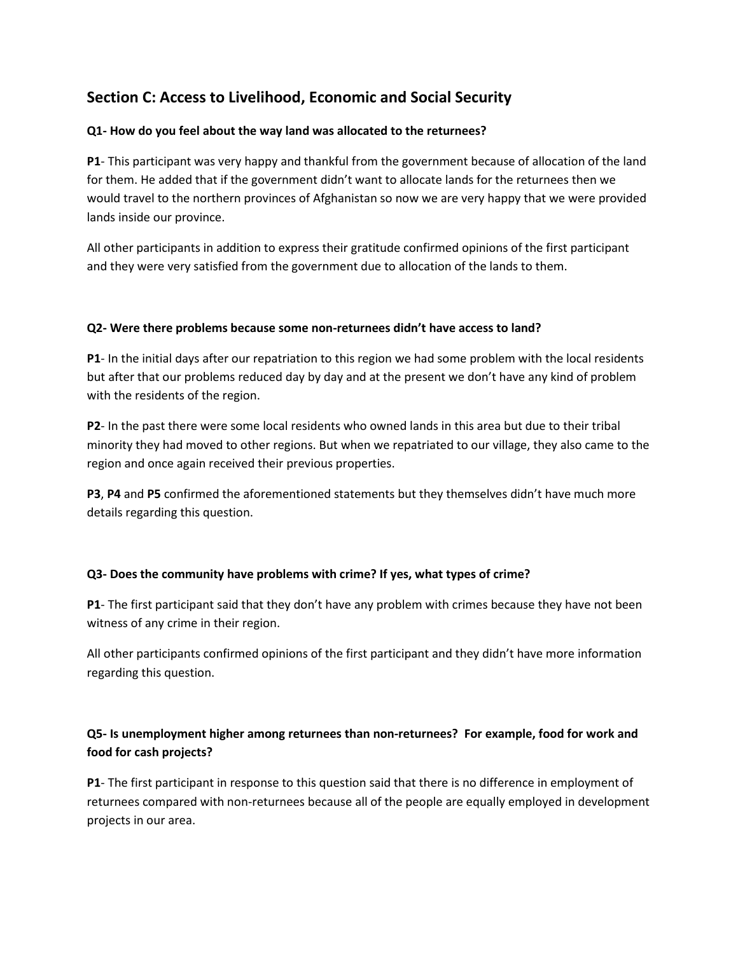# **Section C: Access to Livelihood, Economic and Social Security**

## **Q1- How do you feel about the way land was allocated to the returnees?**

**P1**- This participant was very happy and thankful from the government because of allocation of the land for them. He added that if the government didn't want to allocate lands for the returnees then we would travel to the northern provinces of Afghanistan so now we are very happy that we were provided lands inside our province.

All other participants in addition to express their gratitude confirmed opinions of the first participant and they were very satisfied from the government due to allocation of the lands to them.

## **Q2- Were there problems because some non-returnees didn't have access to land?**

**P1**- In the initial days after our repatriation to this region we had some problem with the local residents but after that our problems reduced day by day and at the present we don't have any kind of problem with the residents of the region.

**P2**- In the past there were some local residents who owned lands in this area but due to their tribal minority they had moved to other regions. But when we repatriated to our village, they also came to the region and once again received their previous properties.

**P3**, **P4** and **P5** confirmed the aforementioned statements but they themselves didn't have much more details regarding this question.

# **Q3- Does the community have problems with crime? If yes, what types of crime?**

**P1**- The first participant said that they don't have any problem with crimes because they have not been witness of any crime in their region.

All other participants confirmed opinions of the first participant and they didn't have more information regarding this question.

# **Q5- Is unemployment higher among returnees than non-returnees? For example, food for work and food for cash projects?**

**P1**- The first participant in response to this question said that there is no difference in employment of returnees compared with non-returnees because all of the people are equally employed in development projects in our area.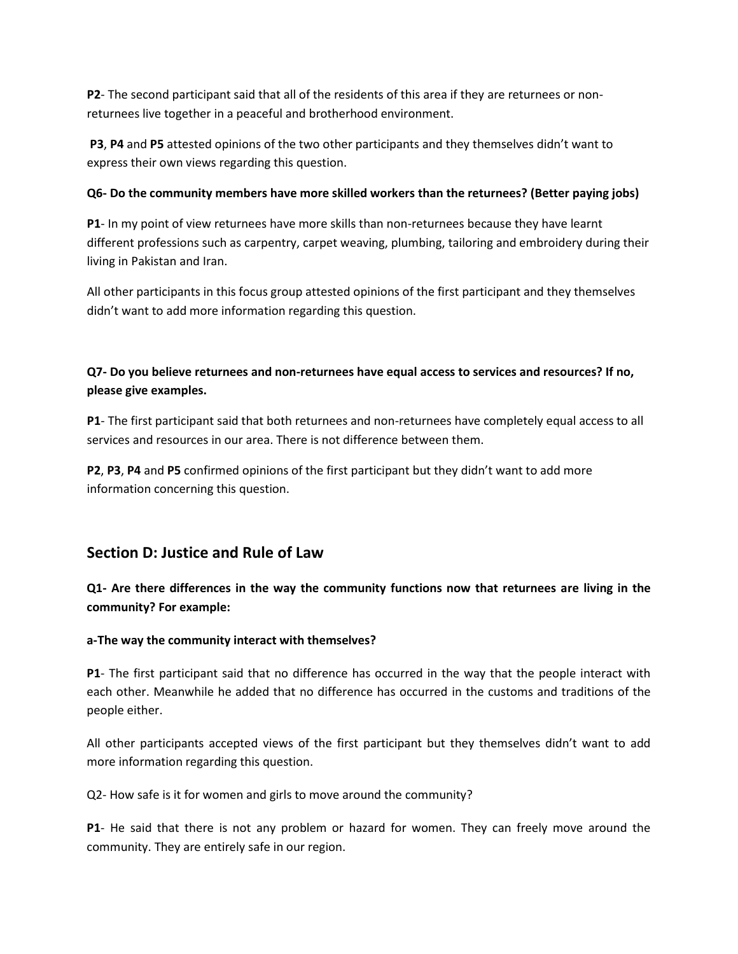**P2**- The second participant said that all of the residents of this area if they are returnees or nonreturnees live together in a peaceful and brotherhood environment.

**P3**, **P4** and **P5** attested opinions of the two other participants and they themselves didn't want to express their own views regarding this question.

## **Q6- Do the community members have more skilled workers than the returnees? (Better paying jobs)**

**P1**- In my point of view returnees have more skills than non-returnees because they have learnt different professions such as carpentry, carpet weaving, plumbing, tailoring and embroidery during their living in Pakistan and Iran.

All other participants in this focus group attested opinions of the first participant and they themselves didn't want to add more information regarding this question.

# **Q7- Do you believe returnees and non-returnees have equal access to services and resources? If no, please give examples.**

**P1**- The first participant said that both returnees and non-returnees have completely equal access to all services and resources in our area. There is not difference between them.

**P2**, **P3**, **P4** and **P5** confirmed opinions of the first participant but they didn't want to add more information concerning this question.

# **Section D: Justice and Rule of Law**

**Q1- Are there differences in the way the community functions now that returnees are living in the community? For example:**

# **a-The way the community interact with themselves?**

**P1**- The first participant said that no difference has occurred in the way that the people interact with each other. Meanwhile he added that no difference has occurred in the customs and traditions of the people either.

All other participants accepted views of the first participant but they themselves didn't want to add more information regarding this question.

Q2- How safe is it for women and girls to move around the community?

**P1**- He said that there is not any problem or hazard for women. They can freely move around the community. They are entirely safe in our region.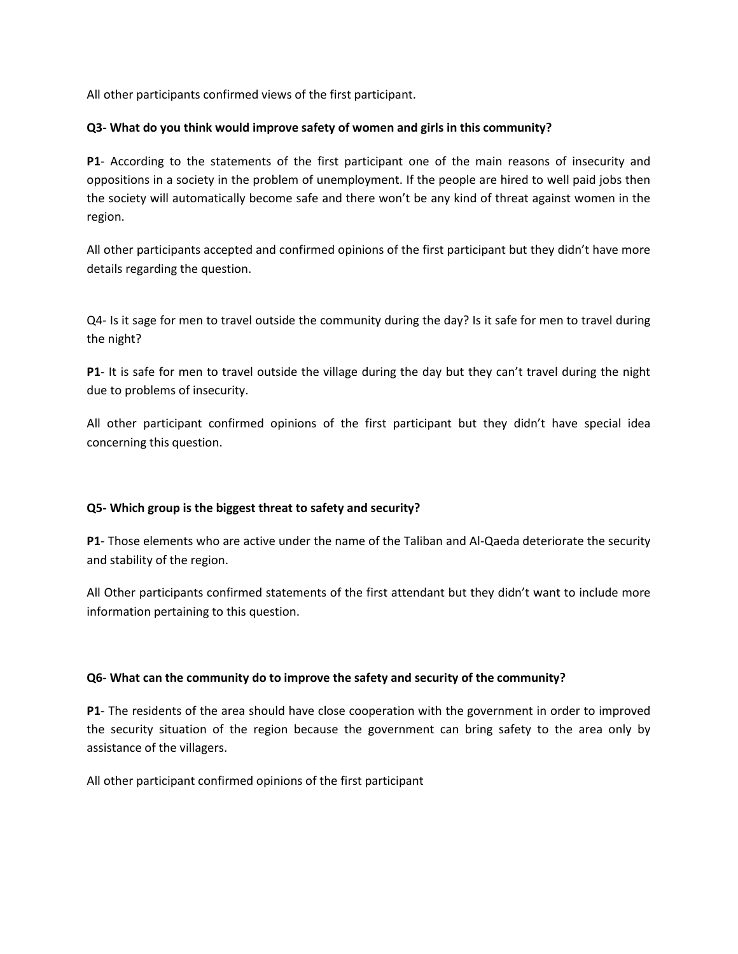All other participants confirmed views of the first participant.

## **Q3- What do you think would improve safety of women and girls in this community?**

**P1**- According to the statements of the first participant one of the main reasons of insecurity and oppositions in a society in the problem of unemployment. If the people are hired to well paid jobs then the society will automatically become safe and there won't be any kind of threat against women in the region.

All other participants accepted and confirmed opinions of the first participant but they didn't have more details regarding the question.

Q4- Is it sage for men to travel outside the community during the day? Is it safe for men to travel during the night?

**P1**- It is safe for men to travel outside the village during the day but they can't travel during the night due to problems of insecurity.

All other participant confirmed opinions of the first participant but they didn't have special idea concerning this question.

# **Q5- Which group is the biggest threat to safety and security?**

**P1**- Those elements who are active under the name of the Taliban and Al-Qaeda deteriorate the security and stability of the region.

All Other participants confirmed statements of the first attendant but they didn't want to include more information pertaining to this question.

### **Q6- What can the community do to improve the safety and security of the community?**

**P1**- The residents of the area should have close cooperation with the government in order to improved the security situation of the region because the government can bring safety to the area only by assistance of the villagers.

All other participant confirmed opinions of the first participant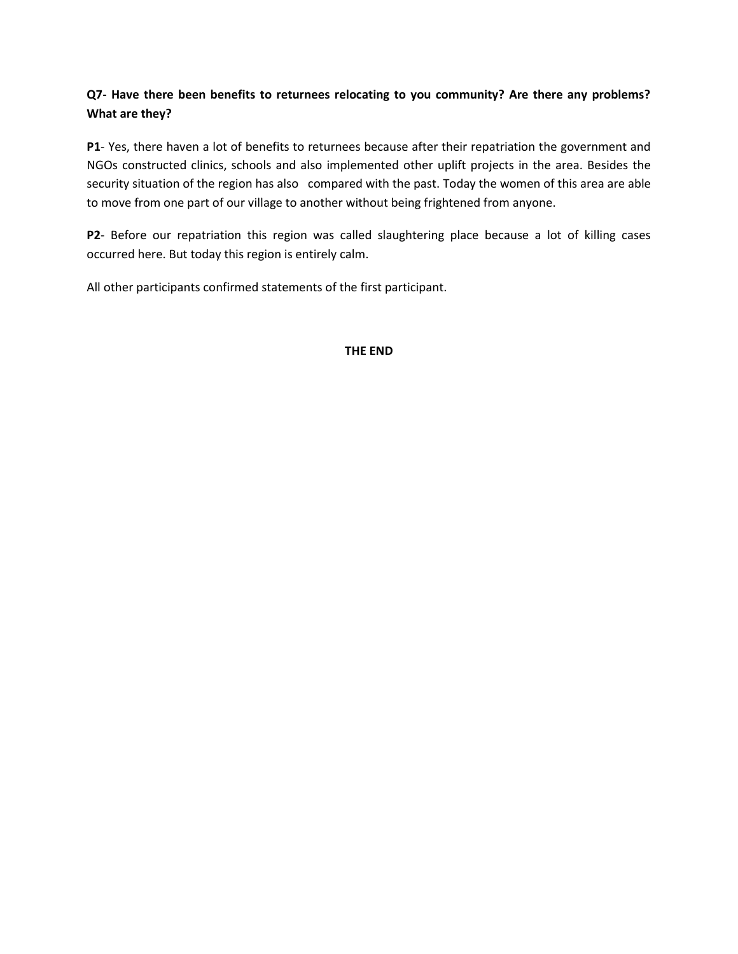# **Q7- Have there been benefits to returnees relocating to you community? Are there any problems? What are they?**

**P1**- Yes, there haven a lot of benefits to returnees because after their repatriation the government and NGOs constructed clinics, schools and also implemented other uplift projects in the area. Besides the security situation of the region has also compared with the past. Today the women of this area are able to move from one part of our village to another without being frightened from anyone.

**P2**- Before our repatriation this region was called slaughtering place because a lot of killing cases occurred here. But today this region is entirely calm.

All other participants confirmed statements of the first participant.

## **THE END**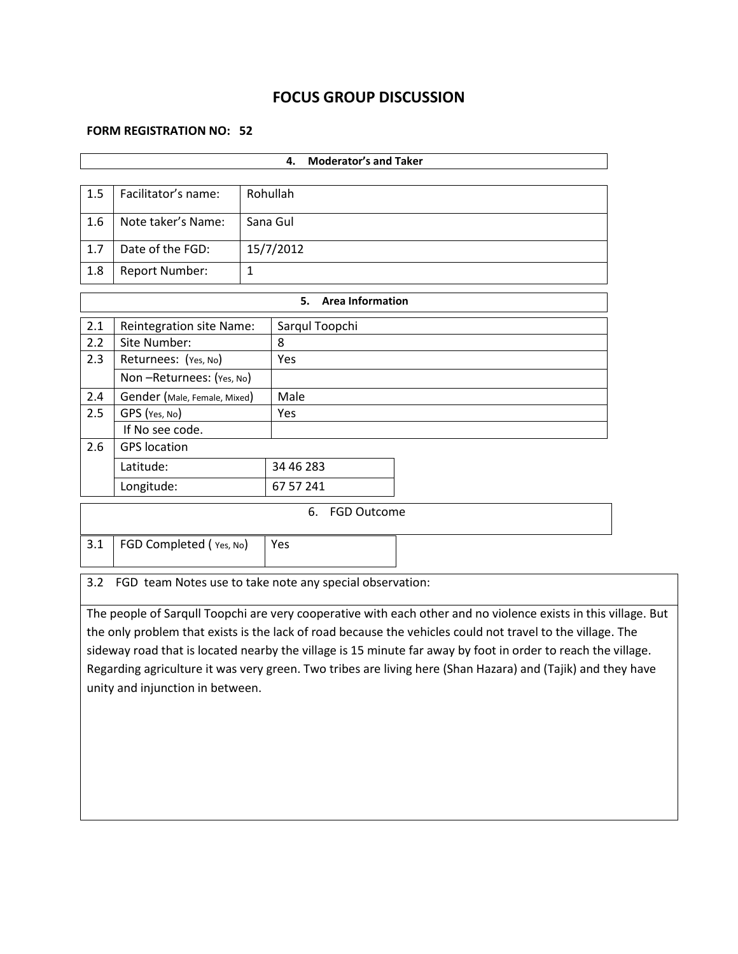# **FOCUS GROUP DISCUSSION**

# **FORM REGISTRATION NO: 52**

| <b>Moderator's and Taker</b><br>4.                              |                                                                                                              |              |                                                                                                                |  |  |  |  |
|-----------------------------------------------------------------|--------------------------------------------------------------------------------------------------------------|--------------|----------------------------------------------------------------------------------------------------------------|--|--|--|--|
|                                                                 |                                                                                                              |              |                                                                                                                |  |  |  |  |
| 1.5                                                             | Facilitator's name:                                                                                          |              | Rohullah                                                                                                       |  |  |  |  |
| 1.6                                                             | Note taker's Name:                                                                                           | Sana Gul     |                                                                                                                |  |  |  |  |
| 1.7                                                             | Date of the FGD:                                                                                             |              | 15/7/2012                                                                                                      |  |  |  |  |
| 1.8                                                             | <b>Report Number:</b>                                                                                        | $\mathbf{1}$ |                                                                                                                |  |  |  |  |
|                                                                 |                                                                                                              |              | <b>Area Information</b><br>5.                                                                                  |  |  |  |  |
| 2.1                                                             | <b>Reintegration site Name:</b>                                                                              |              | Sarqul Toopchi                                                                                                 |  |  |  |  |
| 2.2                                                             | Site Number:                                                                                                 |              | 8                                                                                                              |  |  |  |  |
| 2.3                                                             | Returnees: (Yes, No)                                                                                         |              | Yes                                                                                                            |  |  |  |  |
|                                                                 | Non-Returnees: (Yes, No)                                                                                     |              |                                                                                                                |  |  |  |  |
| 2.4                                                             | Gender (Male, Female, Mixed)                                                                                 |              | Male                                                                                                           |  |  |  |  |
| 2.5                                                             | GPS (Yes, No)                                                                                                |              | Yes                                                                                                            |  |  |  |  |
|                                                                 | If No see code.                                                                                              |              |                                                                                                                |  |  |  |  |
| 2.6                                                             | <b>GPS</b> location                                                                                          |              |                                                                                                                |  |  |  |  |
|                                                                 | Latitude:                                                                                                    |              | 34 46 283                                                                                                      |  |  |  |  |
|                                                                 | Longitude:                                                                                                   |              | 67 57 241                                                                                                      |  |  |  |  |
|                                                                 |                                                                                                              |              | 6.<br><b>FGD Outcome</b>                                                                                       |  |  |  |  |
|                                                                 |                                                                                                              |              |                                                                                                                |  |  |  |  |
| 3.1                                                             | FGD Completed (Yes, No)                                                                                      |              | Yes                                                                                                            |  |  |  |  |
| 3.2<br>FGD team Notes use to take note any special observation: |                                                                                                              |              |                                                                                                                |  |  |  |  |
|                                                                 |                                                                                                              |              | The people of Sarqull Toopchi are very cooperative with each other and no violence exists in this village. But |  |  |  |  |
|                                                                 |                                                                                                              |              | the only problem that exists is the lack of road because the vehicles could not travel to the village. The     |  |  |  |  |
|                                                                 | sideway road that is located nearby the village is 15 minute far away by foot in order to reach the village. |              |                                                                                                                |  |  |  |  |
|                                                                 |                                                                                                              |              | Regarding agriculture it was very green. Two tribes are living here (Shan Hazara) and (Tajik) and they have    |  |  |  |  |
|                                                                 | unity and injunction in between.                                                                             |              |                                                                                                                |  |  |  |  |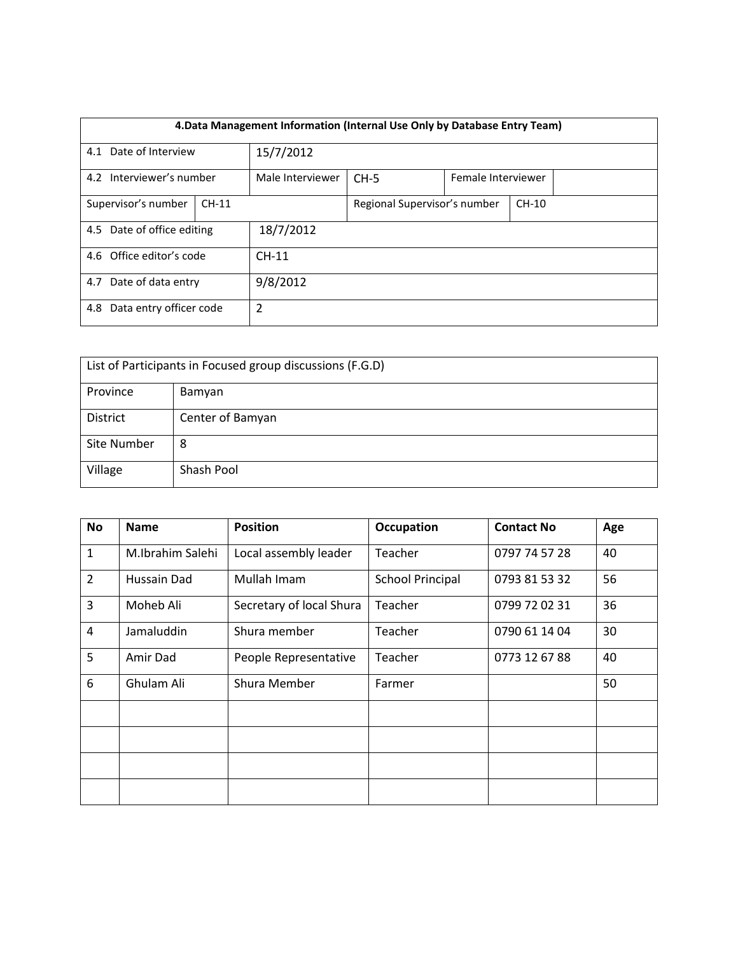| 4. Data Management Information (Internal Use Only by Database Entry Team) |                                              |           |                              |  |                    |  |  |
|---------------------------------------------------------------------------|----------------------------------------------|-----------|------------------------------|--|--------------------|--|--|
| 4.1 Date of Interview                                                     |                                              | 15/7/2012 |                              |  |                    |  |  |
|                                                                           | 4.2 Interviewer's number<br>Male Interviewer |           | $CH-5$                       |  | Female Interviewer |  |  |
| Supervisor's number                                                       | $CH-11$                                      |           | Regional Supervisor's number |  | $CH-10$            |  |  |
| 4.5 Date of office editing                                                |                                              | 18/7/2012 |                              |  |                    |  |  |
| 4.6 Office editor's code                                                  |                                              | $CH-11$   |                              |  |                    |  |  |
| 4.7 Date of data entry                                                    |                                              | 9/8/2012  |                              |  |                    |  |  |
| Data entry officer code<br>4.8                                            |                                              | 2         |                              |  |                    |  |  |

| List of Participants in Focused group discussions (F.G.D) |                  |  |  |  |
|-----------------------------------------------------------|------------------|--|--|--|
| Province                                                  | Bamyan           |  |  |  |
| <b>District</b>                                           | Center of Bamyan |  |  |  |
| Site Number                                               | 8                |  |  |  |
| Village                                                   | Shash Pool       |  |  |  |

| No             | <b>Name</b>      | <b>Position</b>          | Occupation              | <b>Contact No</b> | Age |
|----------------|------------------|--------------------------|-------------------------|-------------------|-----|
| $1\,$          | M.Ibrahim Salehi | Local assembly leader    | Teacher                 | 0797 74 57 28     | 40  |
| $\overline{2}$ | Hussain Dad      | Mullah Imam              | <b>School Principal</b> | 0793 81 53 32     | 56  |
| $\overline{3}$ | Moheb Ali        | Secretary of local Shura | Teacher                 | 0799 72 02 31     | 36  |
| 4              | Jamaluddin       | Shura member             | Teacher                 | 0790 61 14 04     | 30  |
| 5              | Amir Dad         | People Representative    | Teacher                 | 0773 12 67 88     | 40  |
| 6              | Ghulam Ali       | Shura Member             | Farmer                  |                   | 50  |
|                |                  |                          |                         |                   |     |
|                |                  |                          |                         |                   |     |
|                |                  |                          |                         |                   |     |
|                |                  |                          |                         |                   |     |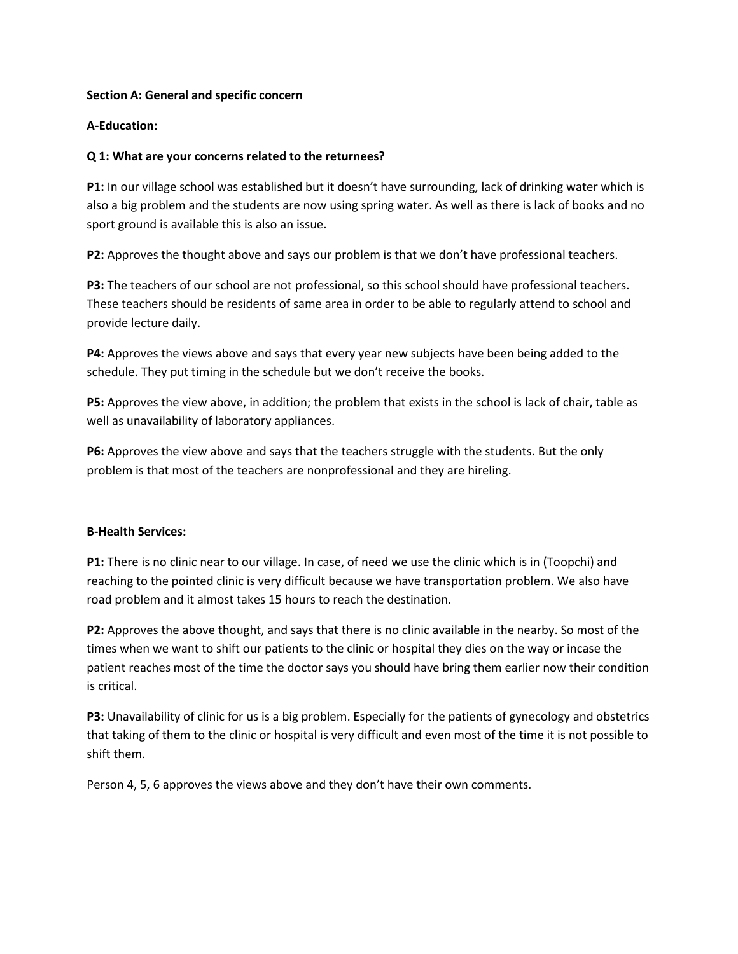### **Section A: General and specific concern**

### **A-Education:**

### **Q 1: What are your concerns related to the returnees?**

**P1:** In our village school was established but it doesn't have surrounding, lack of drinking water which is also a big problem and the students are now using spring water. As well as there is lack of books and no sport ground is available this is also an issue.

**P2:** Approves the thought above and says our problem is that we don't have professional teachers.

**P3:** The teachers of our school are not professional, so this school should have professional teachers. These teachers should be residents of same area in order to be able to regularly attend to school and provide lecture daily.

P4: Approves the views above and says that every year new subjects have been being added to the schedule. They put timing in the schedule but we don't receive the books.

**P5:** Approves the view above, in addition; the problem that exists in the school is lack of chair, table as well as unavailability of laboratory appliances.

**P6:** Approves the view above and says that the teachers struggle with the students. But the only problem is that most of the teachers are nonprofessional and they are hireling.

### **B-Health Services:**

**P1:** There is no clinic near to our village. In case, of need we use the clinic which is in (Toopchi) and reaching to the pointed clinic is very difficult because we have transportation problem. We also have road problem and it almost takes 15 hours to reach the destination.

**P2:** Approves the above thought, and says that there is no clinic available in the nearby. So most of the times when we want to shift our patients to the clinic or hospital they dies on the way or incase the patient reaches most of the time the doctor says you should have bring them earlier now their condition is critical.

**P3:** Unavailability of clinic for us is a big problem. Especially for the patients of gynecology and obstetrics that taking of them to the clinic or hospital is very difficult and even most of the time it is not possible to shift them.

Person 4, 5, 6 approves the views above and they don't have their own comments.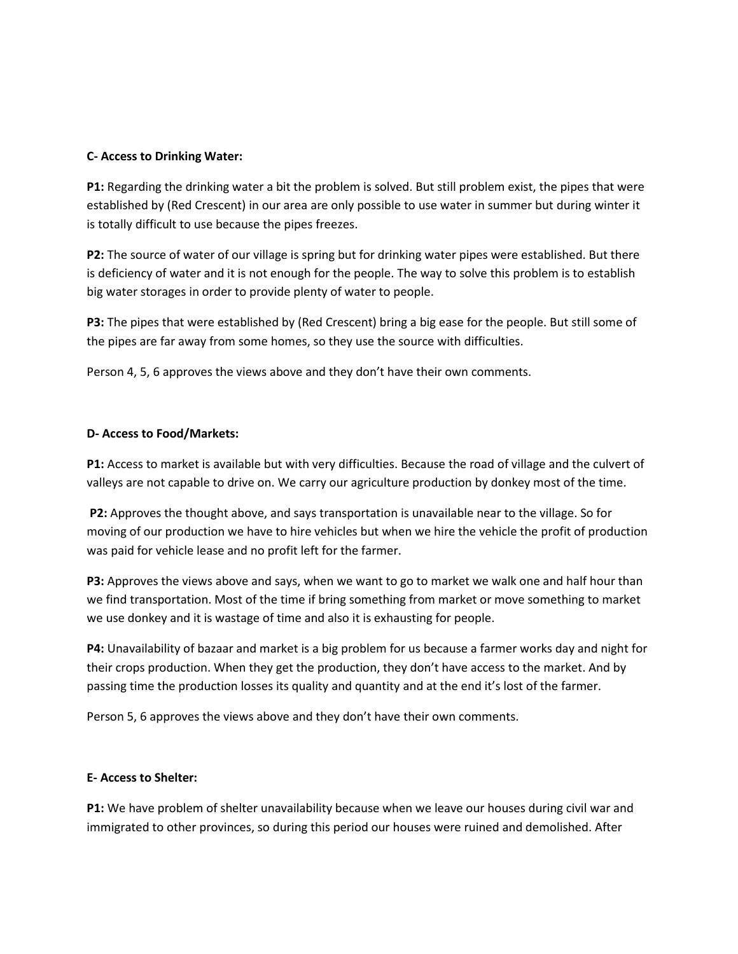### **C- Access to Drinking Water:**

**P1:** Regarding the drinking water a bit the problem is solved. But still problem exist, the pipes that were established by (Red Crescent) in our area are only possible to use water in summer but during winter it is totally difficult to use because the pipes freezes.

**P2:** The source of water of our village is spring but for drinking water pipes were established. But there is deficiency of water and it is not enough for the people. The way to solve this problem is to establish big water storages in order to provide plenty of water to people.

**P3:** The pipes that were established by (Red Crescent) bring a big ease for the people. But still some of the pipes are far away from some homes, so they use the source with difficulties.

Person 4, 5, 6 approves the views above and they don't have their own comments.

## **D- Access to Food/Markets:**

**P1:** Access to market is available but with very difficulties. Because the road of village and the culvert of valleys are not capable to drive on. We carry our agriculture production by donkey most of the time.

**P2:** Approves the thought above, and says transportation is unavailable near to the village. So for moving of our production we have to hire vehicles but when we hire the vehicle the profit of production was paid for vehicle lease and no profit left for the farmer.

**P3:** Approves the views above and says, when we want to go to market we walk one and half hour than we find transportation. Most of the time if bring something from market or move something to market we use donkey and it is wastage of time and also it is exhausting for people.

**P4:** Unavailability of bazaar and market is a big problem for us because a farmer works day and night for their crops production. When they get the production, they don't have access to the market. And by passing time the production losses its quality and quantity and at the end it's lost of the farmer.

Person 5, 6 approves the views above and they don't have their own comments.

### **E- Access to Shelter:**

**P1:** We have problem of shelter unavailability because when we leave our houses during civil war and immigrated to other provinces, so during this period our houses were ruined and demolished. After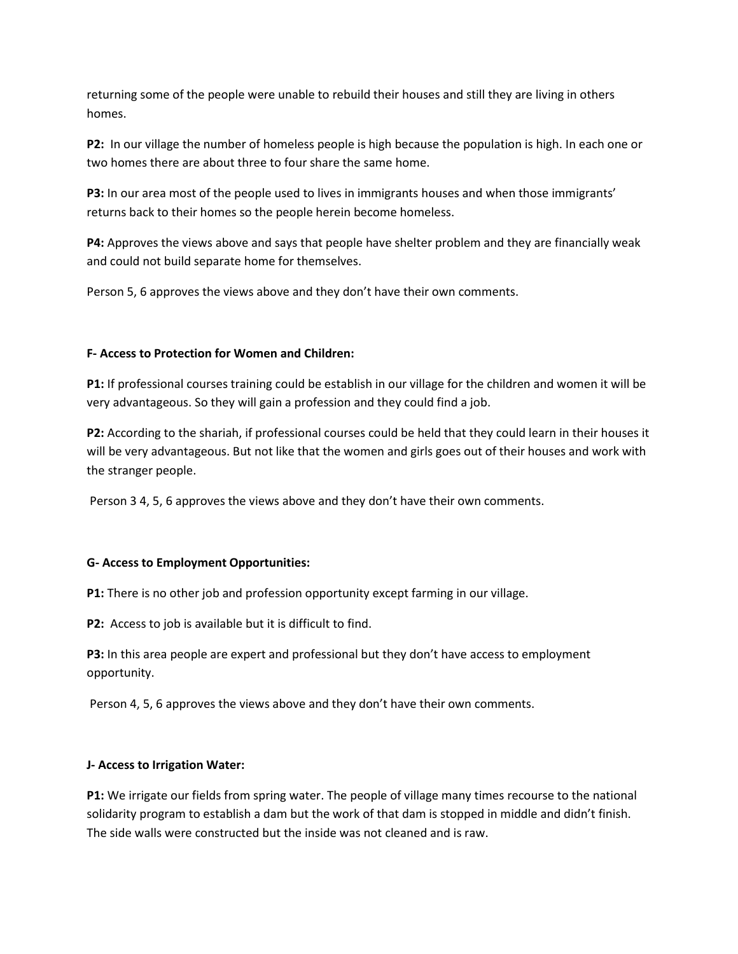returning some of the people were unable to rebuild their houses and still they are living in others homes.

**P2:** In our village the number of homeless people is high because the population is high. In each one or two homes there are about three to four share the same home.

**P3:** In our area most of the people used to lives in immigrants houses and when those immigrants' returns back to their homes so the people herein become homeless.

**P4:** Approves the views above and says that people have shelter problem and they are financially weak and could not build separate home for themselves.

Person 5, 6 approves the views above and they don't have their own comments.

## **F- Access to Protection for Women and Children:**

**P1:** If professional courses training could be establish in our village for the children and women it will be very advantageous. So they will gain a profession and they could find a job.

**P2:** According to the shariah, if professional courses could be held that they could learn in their houses it will be very advantageous. But not like that the women and girls goes out of their houses and work with the stranger people.

Person 3 4, 5, 6 approves the views above and they don't have their own comments.

### **G- Access to Employment Opportunities:**

**P1:** There is no other job and profession opportunity except farming in our village.

**P2:** Access to job is available but it is difficult to find.

**P3:** In this area people are expert and professional but they don't have access to employment opportunity.

Person 4, 5, 6 approves the views above and they don't have their own comments.

### **J- Access to Irrigation Water:**

**P1:** We irrigate our fields from spring water. The people of village many times recourse to the national solidarity program to establish a dam but the work of that dam is stopped in middle and didn't finish. The side walls were constructed but the inside was not cleaned and is raw.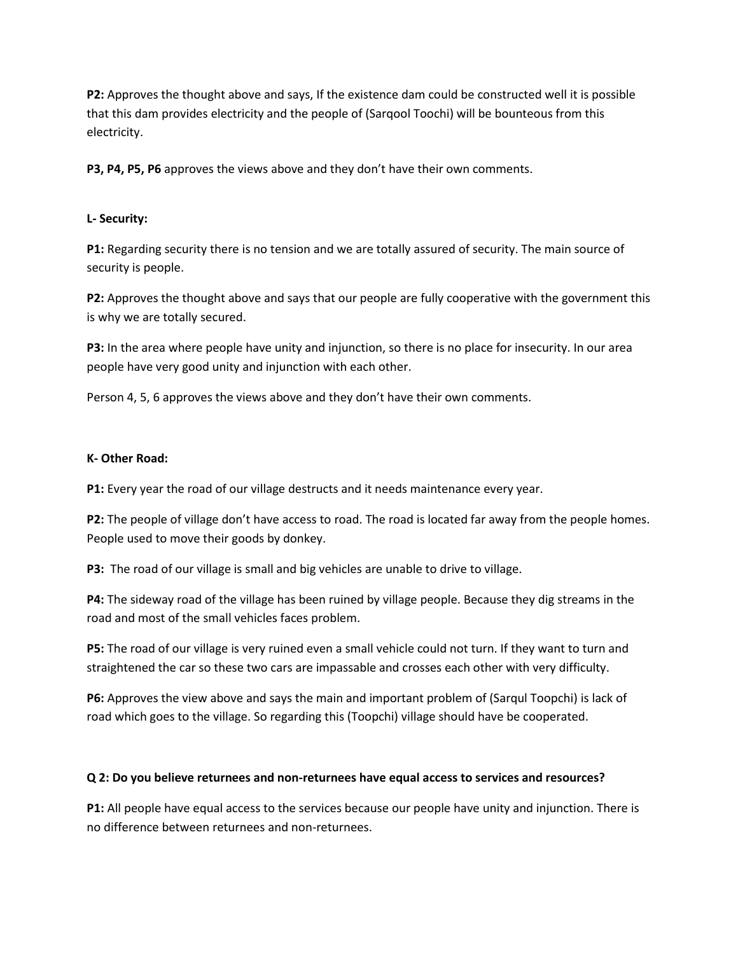**P2:** Approves the thought above and says, If the existence dam could be constructed well it is possible that this dam provides electricity and the people of (Sarqool Toochi) will be bounteous from this electricity.

**P3, P4, P5, P6** approves the views above and they don't have their own comments.

## **L- Security:**

**P1:** Regarding security there is no tension and we are totally assured of security. The main source of security is people.

**P2:** Approves the thought above and says that our people are fully cooperative with the government this is why we are totally secured.

**P3:** In the area where people have unity and injunction, so there is no place for insecurity. In our area people have very good unity and injunction with each other.

Person 4, 5, 6 approves the views above and they don't have their own comments.

### **K- Other Road:**

**P1:** Every year the road of our village destructs and it needs maintenance every year.

**P2:** The people of village don't have access to road. The road is located far away from the people homes. People used to move their goods by donkey.

**P3:** The road of our village is small and big vehicles are unable to drive to village.

**P4:** The sideway road of the village has been ruined by village people. Because they dig streams in the road and most of the small vehicles faces problem.

**P5:** The road of our village is very ruined even a small vehicle could not turn. If they want to turn and straightened the car so these two cars are impassable and crosses each other with very difficulty.

**P6:** Approves the view above and says the main and important problem of (Sarqul Toopchi) is lack of road which goes to the village. So regarding this (Toopchi) village should have be cooperated.

### **Q 2: Do you believe returnees and non-returnees have equal access to services and resources?**

**P1:** All people have equal access to the services because our people have unity and injunction. There is no difference between returnees and non-returnees.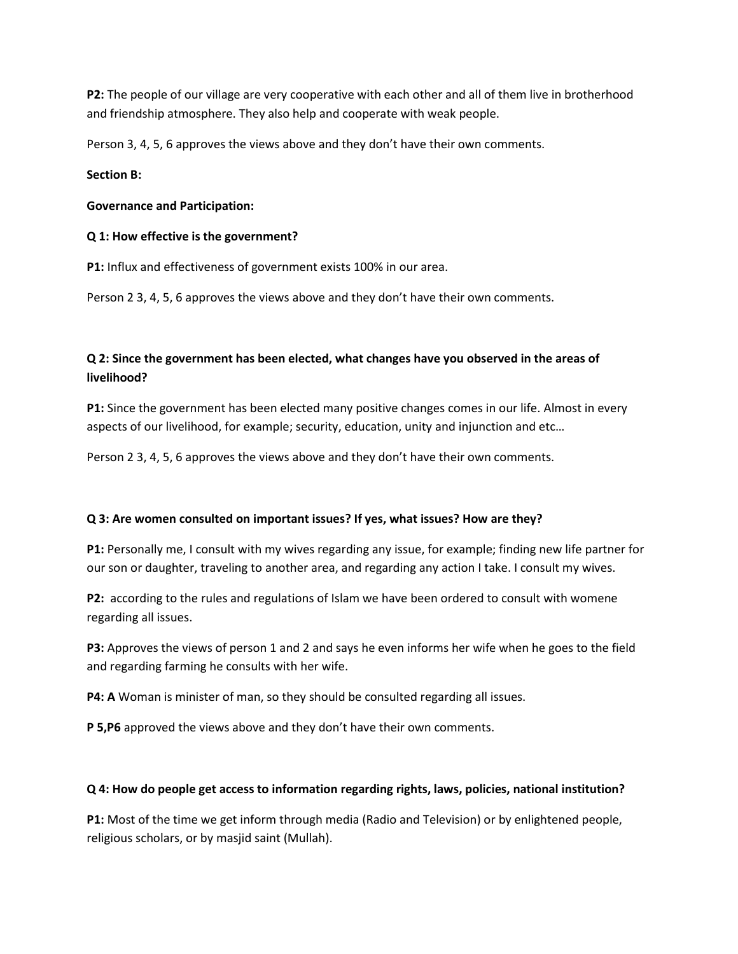**P2:** The people of our village are very cooperative with each other and all of them live in brotherhood and friendship atmosphere. They also help and cooperate with weak people.

Person 3, 4, 5, 6 approves the views above and they don't have their own comments.

### **Section B:**

### **Governance and Participation:**

### **Q 1: How effective is the government?**

**P1:** Influx and effectiveness of government exists 100% in our area.

Person 2 3, 4, 5, 6 approves the views above and they don't have their own comments.

# **Q 2: Since the government has been elected, what changes have you observed in the areas of livelihood?**

**P1:** Since the government has been elected many positive changes comes in our life. Almost in every aspects of our livelihood, for example; security, education, unity and injunction and etc…

Person 2 3, 4, 5, 6 approves the views above and they don't have their own comments.

### **Q 3: Are women consulted on important issues? If yes, what issues? How are they?**

**P1:** Personally me, I consult with my wives regarding any issue, for example; finding new life partner for our son or daughter, traveling to another area, and regarding any action I take. I consult my wives.

**P2:** according to the rules and regulations of Islam we have been ordered to consult with womene regarding all issues.

**P3:** Approves the views of person 1 and 2 and says he even informs her wife when he goes to the field and regarding farming he consults with her wife.

**P4: A** Woman is minister of man, so they should be consulted regarding all issues.

**P 5,P6** approved the views above and they don't have their own comments.

# **Q 4: How do people get access to information regarding rights, laws, policies, national institution?**

**P1:** Most of the time we get inform through media (Radio and Television) or by enlightened people, religious scholars, or by masjid saint (Mullah).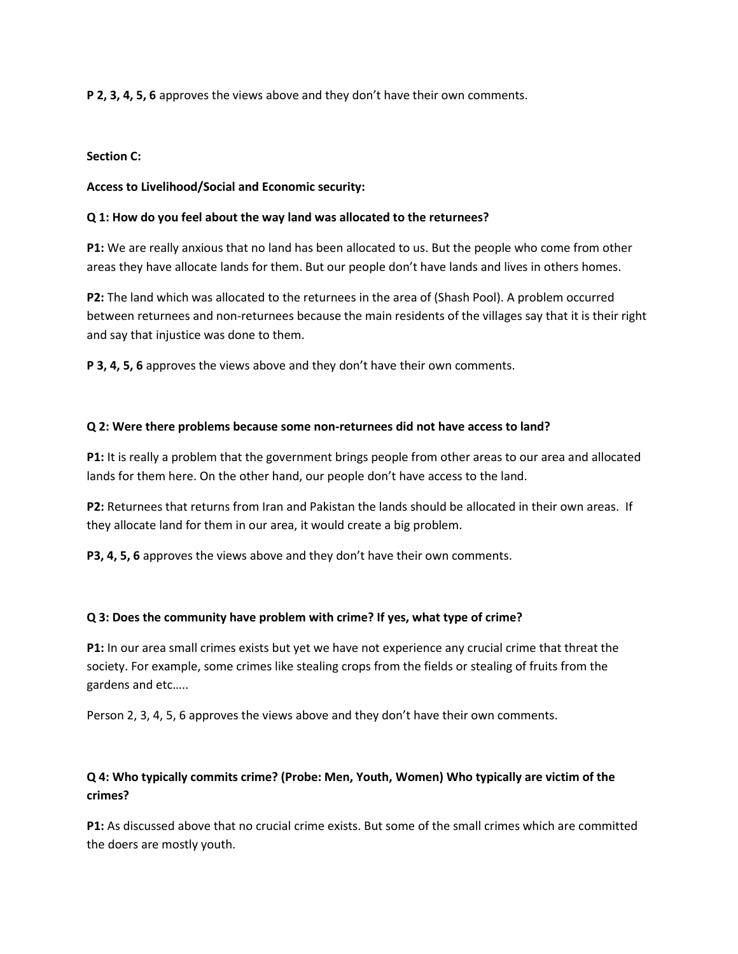**P 2, 3, 4, 5, 6** approves the views above and they don't have their own comments.

### **Section C:**

## **Access to Livelihood/Social and Economic security:**

## **Q 1: How do you feel about the way land was allocated to the returnees?**

**P1:** We are really anxious that no land has been allocated to us. But the people who come from other areas they have allocate lands for them. But our people don't have lands and lives in others homes.

**P2:** The land which was allocated to the returnees in the area of (Shash Pool). A problem occurred between returnees and non-returnees because the main residents of the villages say that it is their right and say that injustice was done to them.

**P 3, 4, 5, 6** approves the views above and they don't have their own comments.

## **Q 2: Were there problems because some non-returnees did not have access to land?**

**P1:** It is really a problem that the government brings people from other areas to our area and allocated lands for them here. On the other hand, our people don't have access to the land.

**P2:** Returnees that returns from Iran and Pakistan the lands should be allocated in their own areas. If they allocate land for them in our area, it would create a big problem.

**P3, 4, 5, 6** approves the views above and they don't have their own comments.

### **Q 3: Does the community have problem with crime? If yes, what type of crime?**

**P1:** In our area small crimes exists but yet we have not experience any crucial crime that threat the society. For example, some crimes like stealing crops from the fields or stealing of fruits from the gardens and etc…..

Person 2, 3, 4, 5, 6 approves the views above and they don't have their own comments.

# **Q 4: Who typically commits crime? (Probe: Men, Youth, Women) Who typically are victim of the crimes?**

**P1:** As discussed above that no crucial crime exists. But some of the small crimes which are committed the doers are mostly youth.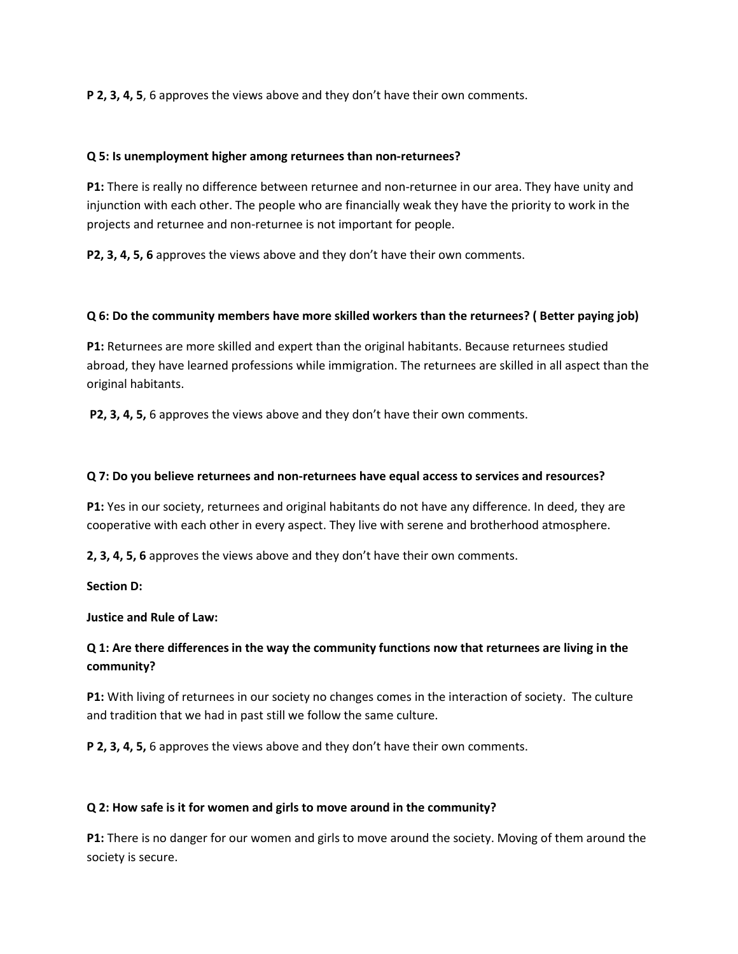**P 2, 3, 4, 5**, 6 approves the views above and they don't have their own comments.

### **Q 5: Is unemployment higher among returnees than non-returnees?**

**P1:** There is really no difference between returnee and non-returnee in our area. They have unity and injunction with each other. The people who are financially weak they have the priority to work in the projects and returnee and non-returnee is not important for people.

**P2, 3, 4, 5, 6** approves the views above and they don't have their own comments.

## **Q 6: Do the community members have more skilled workers than the returnees? ( Better paying job)**

**P1:** Returnees are more skilled and expert than the original habitants. Because returnees studied abroad, they have learned professions while immigration. The returnees are skilled in all aspect than the original habitants.

**P2, 3, 4, 5,** 6 approves the views above and they don't have their own comments.

## **Q 7: Do you believe returnees and non-returnees have equal access to services and resources?**

**P1:** Yes in our society, returnees and original habitants do not have any difference. In deed, they are cooperative with each other in every aspect. They live with serene and brotherhood atmosphere.

**2, 3, 4, 5, 6** approves the views above and they don't have their own comments.

**Section D:** 

**Justice and Rule of Law:**

# **Q 1: Are there differences in the way the community functions now that returnees are living in the community?**

**P1:** With living of returnees in our society no changes comes in the interaction of society. The culture and tradition that we had in past still we follow the same culture.

**P 2, 3, 4, 5,** 6 approves the views above and they don't have their own comments.

# **Q 2: How safe is it for women and girls to move around in the community?**

**P1:** There is no danger for our women and girls to move around the society. Moving of them around the society is secure.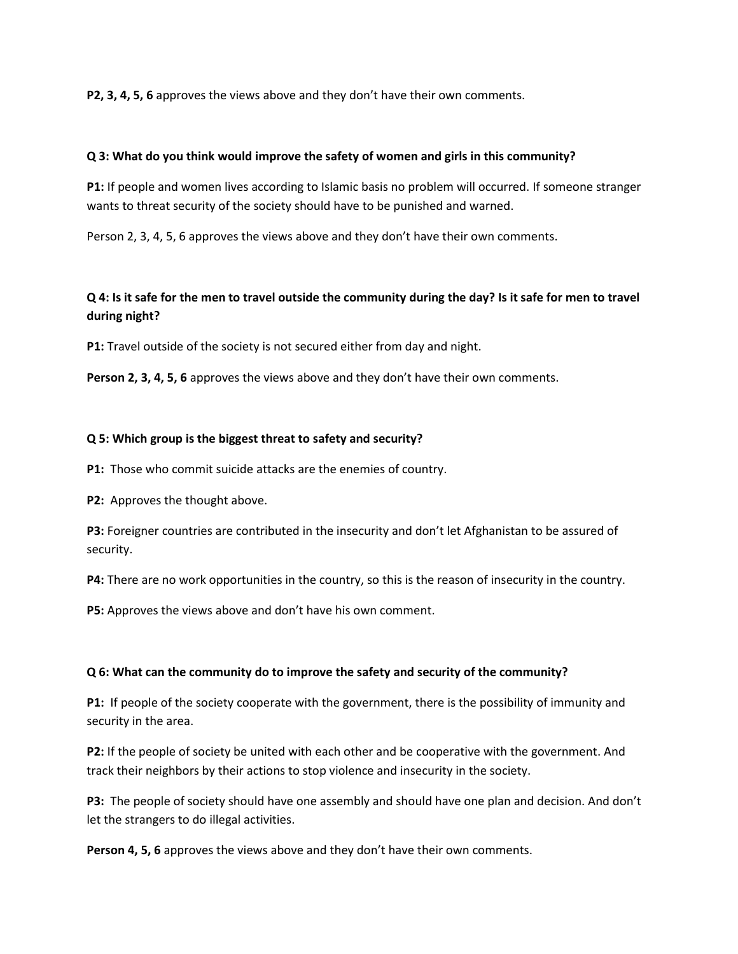**P2, 3, 4, 5, 6** approves the views above and they don't have their own comments.

### **Q 3: What do you think would improve the safety of women and girls in this community?**

**P1:** If people and women lives according to Islamic basis no problem will occurred. If someone stranger wants to threat security of the society should have to be punished and warned.

Person 2, 3, 4, 5, 6 approves the views above and they don't have their own comments.

# **Q 4: Is it safe for the men to travel outside the community during the day? Is it safe for men to travel during night?**

**P1:** Travel outside of the society is not secured either from day and night.

**Person 2, 3, 4, 5, 6** approves the views above and they don't have their own comments.

### **Q 5: Which group is the biggest threat to safety and security?**

**P1:** Those who commit suicide attacks are the enemies of country.

**P2:** Approves the thought above.

**P3:** Foreigner countries are contributed in the insecurity and don't let Afghanistan to be assured of security.

**P4:** There are no work opportunities in the country, so this is the reason of insecurity in the country.

**P5:** Approves the views above and don't have his own comment.

### **Q 6: What can the community do to improve the safety and security of the community?**

**P1:** If people of the society cooperate with the government, there is the possibility of immunity and security in the area.

**P2:** If the people of society be united with each other and be cooperative with the government. And track their neighbors by their actions to stop violence and insecurity in the society.

**P3:** The people of society should have one assembly and should have one plan and decision. And don't let the strangers to do illegal activities.

Person 4, 5, 6 approves the views above and they don't have their own comments.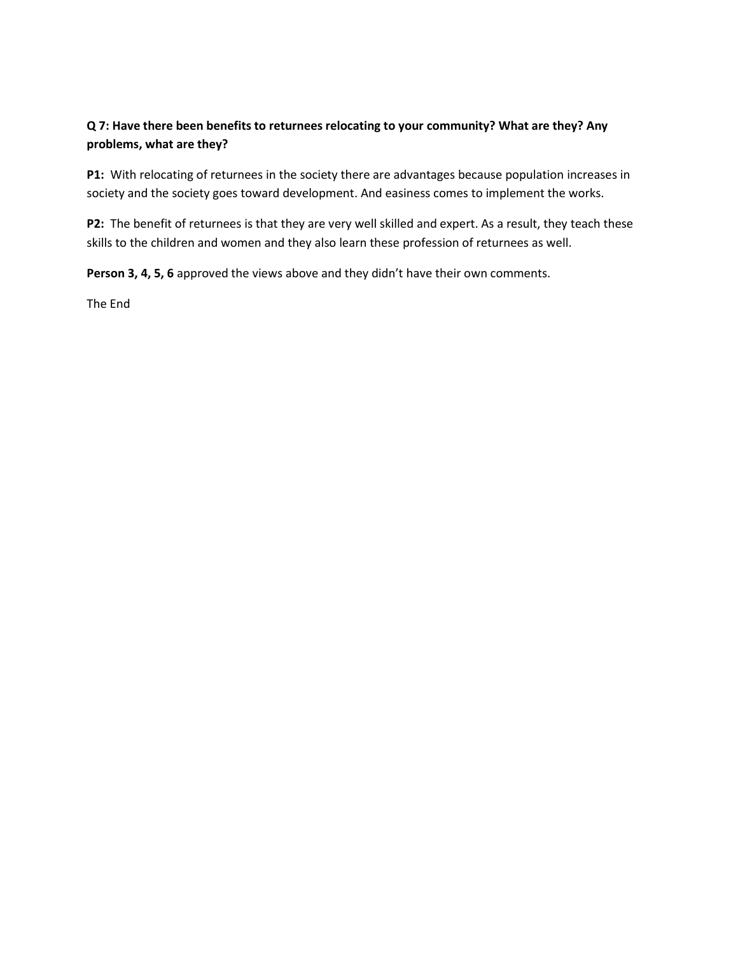# **Q 7: Have there been benefits to returnees relocating to your community? What are they? Any problems, what are they?**

**P1:** With relocating of returnees in the society there are advantages because population increases in society and the society goes toward development. And easiness comes to implement the works.

**P2:** The benefit of returnees is that they are very well skilled and expert. As a result, they teach these skills to the children and women and they also learn these profession of returnees as well.

**Person 3, 4, 5, 6** approved the views above and they didn't have their own comments.

The End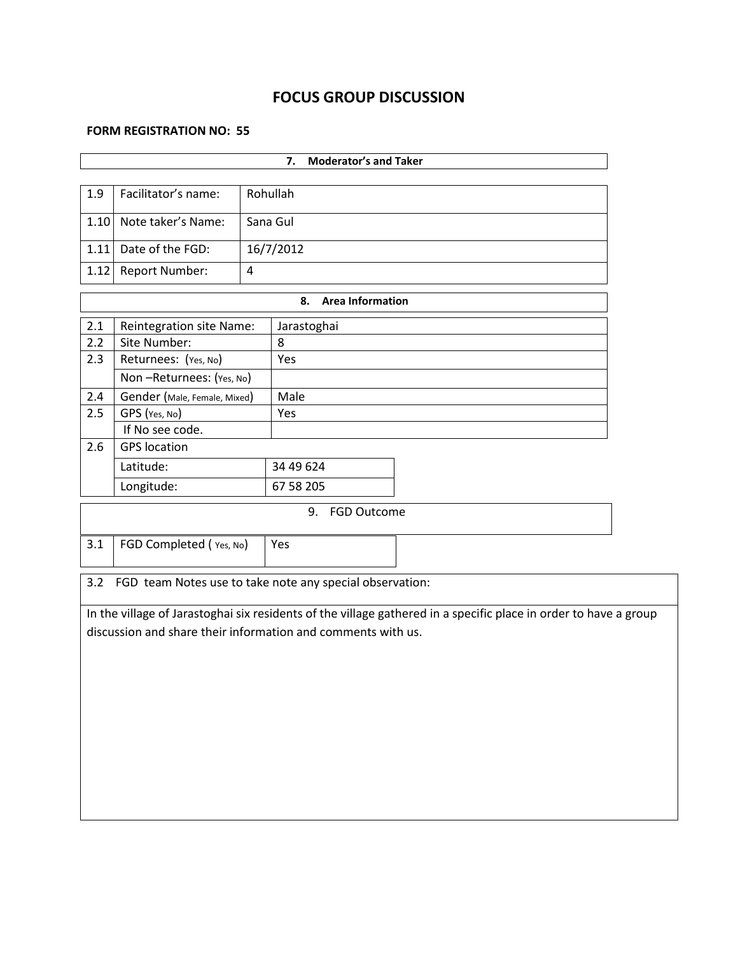# **FOCUS GROUP DISCUSSION**

### **FORM REGISTRATION NO: 55**

| <b>Moderator's and Taker</b><br>7.                           |                                                          |   |                                                                                                                  |  |  |  |  |
|--------------------------------------------------------------|----------------------------------------------------------|---|------------------------------------------------------------------------------------------------------------------|--|--|--|--|
|                                                              |                                                          |   |                                                                                                                  |  |  |  |  |
| 1.9                                                          | Facilitator's name:                                      |   | Rohullah                                                                                                         |  |  |  |  |
| 1.10                                                         | Note taker's Name:<br>Sana Gul                           |   |                                                                                                                  |  |  |  |  |
|                                                              | 1.11 Date of the FGD:                                    |   | 16/7/2012                                                                                                        |  |  |  |  |
| 1.12                                                         | Report Number:                                           | 4 |                                                                                                                  |  |  |  |  |
|                                                              |                                                          |   | <b>Area Information</b><br>8.                                                                                    |  |  |  |  |
| 2.1                                                          | <b>Reintegration site Name:</b>                          |   | Jarastoghai                                                                                                      |  |  |  |  |
| 2.2                                                          | Site Number:                                             |   | 8                                                                                                                |  |  |  |  |
| 2.3                                                          | Returnees: (Yes, No)                                     |   | Yes                                                                                                              |  |  |  |  |
|                                                              | Non-Returnees: (Yes, No)                                 |   |                                                                                                                  |  |  |  |  |
| $2.4$                                                        | Gender (Male, Female, Mixed)                             |   | Male                                                                                                             |  |  |  |  |
| 2.5                                                          | GPS (Yes, No)                                            |   | Yes                                                                                                              |  |  |  |  |
|                                                              | If No see code.                                          |   |                                                                                                                  |  |  |  |  |
| 2.6                                                          | <b>GPS</b> location                                      |   |                                                                                                                  |  |  |  |  |
|                                                              | Latitude:                                                |   | 34 49 624                                                                                                        |  |  |  |  |
|                                                              | Longitude:                                               |   | 67 58 205                                                                                                        |  |  |  |  |
|                                                              |                                                          |   | 9. FGD Outcome                                                                                                   |  |  |  |  |
| 3.1                                                          | FGD Completed (Yes, No)                                  |   | Yes                                                                                                              |  |  |  |  |
|                                                              |                                                          |   |                                                                                                                  |  |  |  |  |
| 3.2                                                          | FGD team Notes use to take note any special observation: |   |                                                                                                                  |  |  |  |  |
|                                                              |                                                          |   | In the village of Jarastoghai six residents of the village gathered in a specific place in order to have a group |  |  |  |  |
| discussion and share their information and comments with us. |                                                          |   |                                                                                                                  |  |  |  |  |
|                                                              |                                                          |   |                                                                                                                  |  |  |  |  |
|                                                              |                                                          |   |                                                                                                                  |  |  |  |  |
|                                                              |                                                          |   |                                                                                                                  |  |  |  |  |
|                                                              |                                                          |   |                                                                                                                  |  |  |  |  |
|                                                              |                                                          |   |                                                                                                                  |  |  |  |  |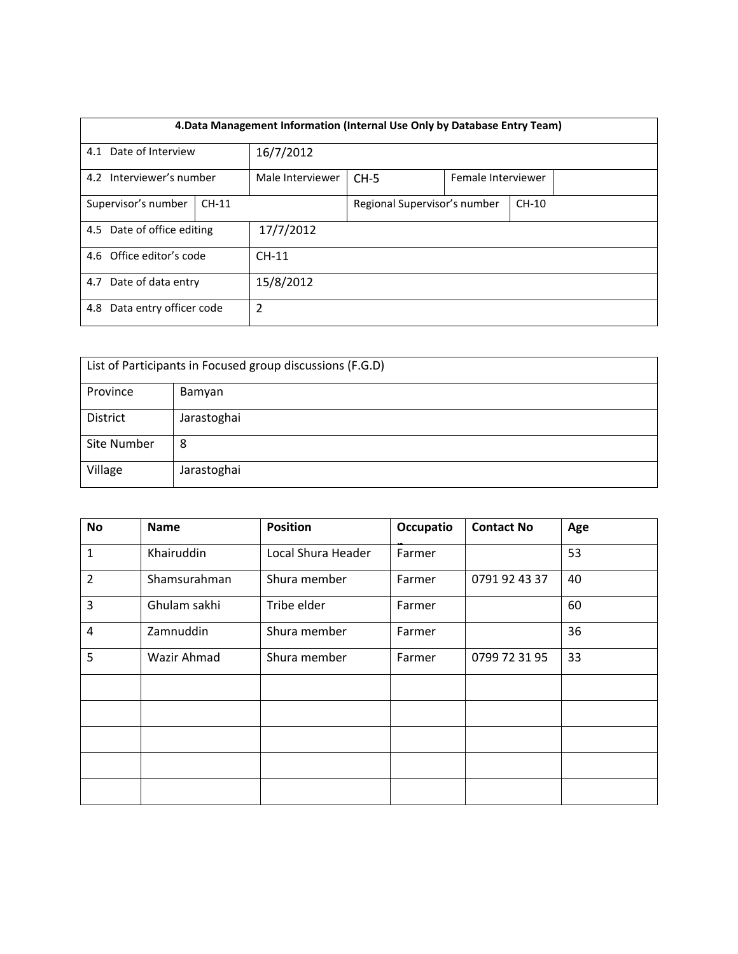| 4. Data Management Information (Internal Use Only by Database Entry Team) |         |                  |                              |  |                    |  |  |
|---------------------------------------------------------------------------|---------|------------------|------------------------------|--|--------------------|--|--|
| 4.1 Date of Interview                                                     |         | 16/7/2012        |                              |  |                    |  |  |
| 4.2 Interviewer's number                                                  |         | Male Interviewer | $CH-5$                       |  | Female Interviewer |  |  |
| Supervisor's number                                                       | $CH-11$ |                  | Regional Supervisor's number |  | $CH-10$            |  |  |
| 4.5 Date of office editing                                                |         | 17/7/2012        |                              |  |                    |  |  |
| 4.6 Office editor's code                                                  |         | $CH-11$          |                              |  |                    |  |  |
| 4.7 Date of data entry                                                    |         | 15/8/2012        |                              |  |                    |  |  |
| Data entry officer code<br>4.8                                            |         | 2                |                              |  |                    |  |  |

| List of Participants in Focused group discussions (F.G.D) |             |  |  |  |
|-----------------------------------------------------------|-------------|--|--|--|
| Province                                                  | Bamyan      |  |  |  |
| District                                                  | Jarastoghai |  |  |  |
| Site Number                                               | 8           |  |  |  |
| Village                                                   | Jarastoghai |  |  |  |

| <b>No</b> | <b>Name</b>  | <b>Position</b>    | Occupatio | <b>Contact No</b> | Age |
|-----------|--------------|--------------------|-----------|-------------------|-----|
| 1         | Khairuddin   | Local Shura Header | Farmer    |                   | 53  |
| 2         | Shamsurahman | Shura member       | Farmer    | 0791 92 43 37     | 40  |
| 3         | Ghulam sakhi | Tribe elder        | Farmer    |                   | 60  |
| 4         | Zamnuddin    | Shura member       | Farmer    |                   | 36  |
| 5         | Wazir Ahmad  | Shura member       | Farmer    | 0799 72 31 95     | 33  |
|           |              |                    |           |                   |     |
|           |              |                    |           |                   |     |
|           |              |                    |           |                   |     |
|           |              |                    |           |                   |     |
|           |              |                    |           |                   |     |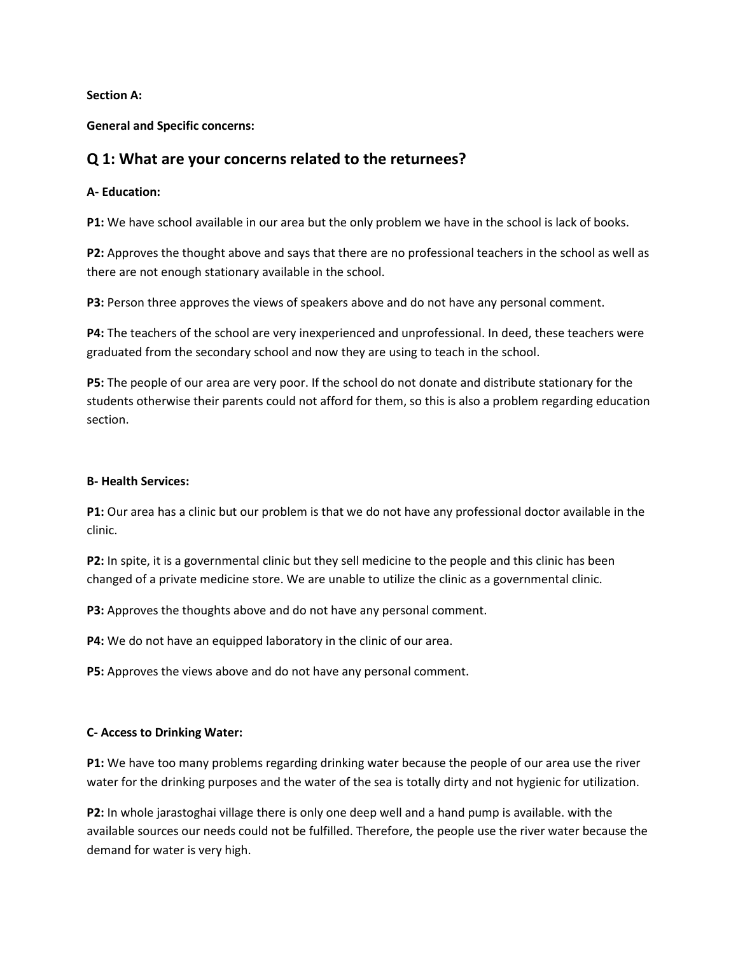**Section A:**

**General and Specific concerns:**

# **Q 1: What are your concerns related to the returnees?**

### **A- Education:**

**P1:** We have school available in our area but the only problem we have in the school is lack of books.

**P2:** Approves the thought above and says that there are no professional teachers in the school as well as there are not enough stationary available in the school.

**P3:** Person three approves the views of speakers above and do not have any personal comment.

**P4:** The teachers of the school are very inexperienced and unprofessional. In deed, these teachers were graduated from the secondary school and now they are using to teach in the school.

**P5:** The people of our area are very poor. If the school do not donate and distribute stationary for the students otherwise their parents could not afford for them, so this is also a problem regarding education section.

### **B- Health Services:**

**P1:** Our area has a clinic but our problem is that we do not have any professional doctor available in the clinic.

**P2:** In spite, it is a governmental clinic but they sell medicine to the people and this clinic has been changed of a private medicine store. We are unable to utilize the clinic as a governmental clinic.

**P3:** Approves the thoughts above and do not have any personal comment.

**P4:** We do not have an equipped laboratory in the clinic of our area.

**P5:** Approves the views above and do not have any personal comment.

### **C- Access to Drinking Water:**

**P1:** We have too many problems regarding drinking water because the people of our area use the river water for the drinking purposes and the water of the sea is totally dirty and not hygienic for utilization.

**P2:** In whole jarastoghai village there is only one deep well and a hand pump is available. with the available sources our needs could not be fulfilled. Therefore, the people use the river water because the demand for water is very high.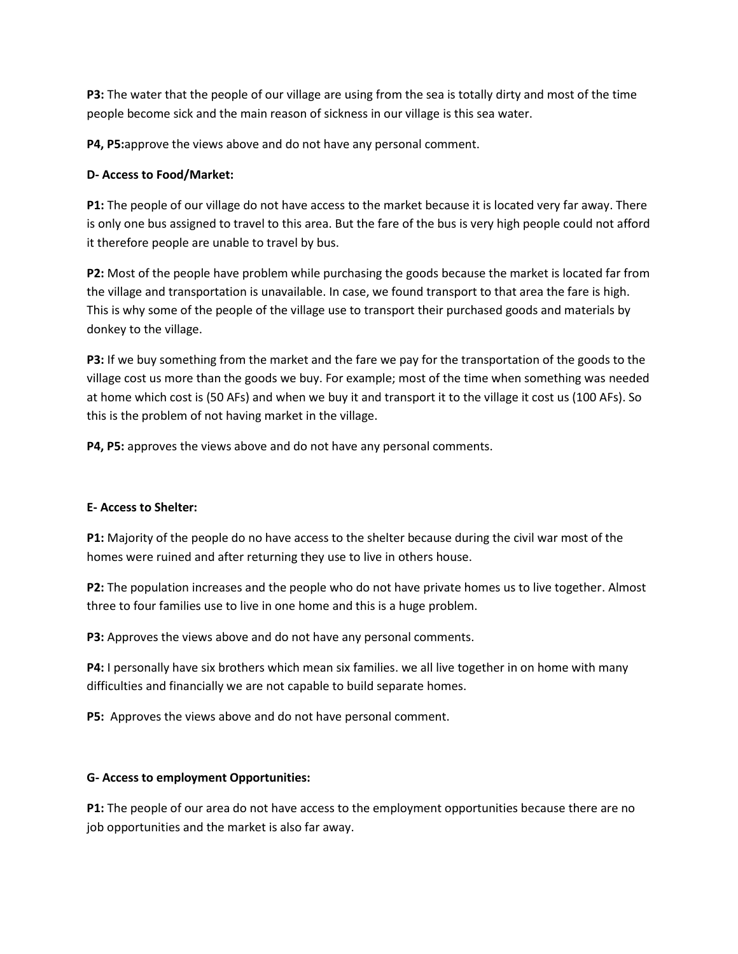**P3:** The water that the people of our village are using from the sea is totally dirty and most of the time people become sick and the main reason of sickness in our village is this sea water.

**P4, P5:**approve the views above and do not have any personal comment.

## **D- Access to Food/Market:**

**P1:** The people of our village do not have access to the market because it is located very far away. There is only one bus assigned to travel to this area. But the fare of the bus is very high people could not afford it therefore people are unable to travel by bus.

**P2:** Most of the people have problem while purchasing the goods because the market is located far from the village and transportation is unavailable. In case, we found transport to that area the fare is high. This is why some of the people of the village use to transport their purchased goods and materials by donkey to the village.

**P3:** If we buy something from the market and the fare we pay for the transportation of the goods to the village cost us more than the goods we buy. For example; most of the time when something was needed at home which cost is (50 AFs) and when we buy it and transport it to the village it cost us (100 AFs). So this is the problem of not having market in the village.

**P4, P5:** approves the views above and do not have any personal comments.

### **E- Access to Shelter:**

**P1:** Majority of the people do no have access to the shelter because during the civil war most of the homes were ruined and after returning they use to live in others house.

**P2:** The population increases and the people who do not have private homes us to live together. Almost three to four families use to live in one home and this is a huge problem.

**P3:** Approves the views above and do not have any personal comments.

**P4:** I personally have six brothers which mean six families. we all live together in on home with many difficulties and financially we are not capable to build separate homes.

**P5:** Approves the views above and do not have personal comment.

### **G- Access to employment Opportunities:**

**P1:** The people of our area do not have access to the employment opportunities because there are no job opportunities and the market is also far away.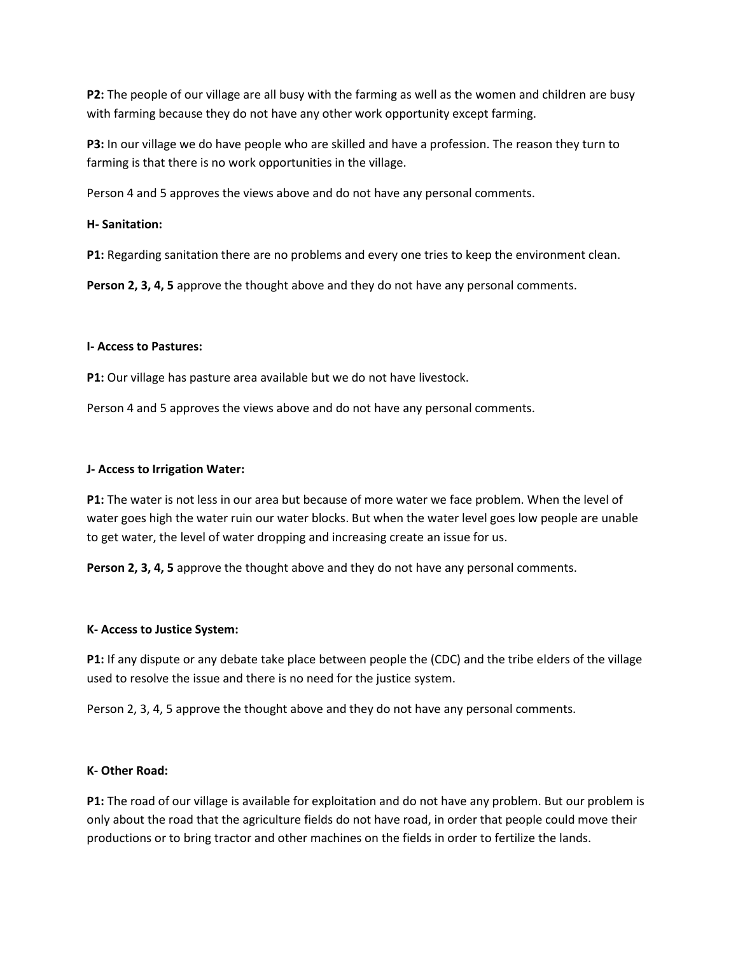**P2:** The people of our village are all busy with the farming as well as the women and children are busy with farming because they do not have any other work opportunity except farming.

**P3:** In our village we do have people who are skilled and have a profession. The reason they turn to farming is that there is no work opportunities in the village.

Person 4 and 5 approves the views above and do not have any personal comments.

## **H- Sanitation:**

**P1:** Regarding sanitation there are no problems and every one tries to keep the environment clean.

**Person 2, 3, 4, 5** approve the thought above and they do not have any personal comments.

### **I- Access to Pastures:**

P1: Our village has pasture area available but we do not have livestock.

Person 4 and 5 approves the views above and do not have any personal comments.

### **J- Access to Irrigation Water:**

**P1:** The water is not less in our area but because of more water we face problem. When the level of water goes high the water ruin our water blocks. But when the water level goes low people are unable to get water, the level of water dropping and increasing create an issue for us.

**Person 2, 3, 4, 5** approve the thought above and they do not have any personal comments.

### **K- Access to Justice System:**

**P1:** If any dispute or any debate take place between people the (CDC) and the tribe elders of the village used to resolve the issue and there is no need for the justice system.

Person 2, 3, 4, 5 approve the thought above and they do not have any personal comments.

### **K- Other Road:**

**P1:** The road of our village is available for exploitation and do not have any problem. But our problem is only about the road that the agriculture fields do not have road, in order that people could move their productions or to bring tractor and other machines on the fields in order to fertilize the lands.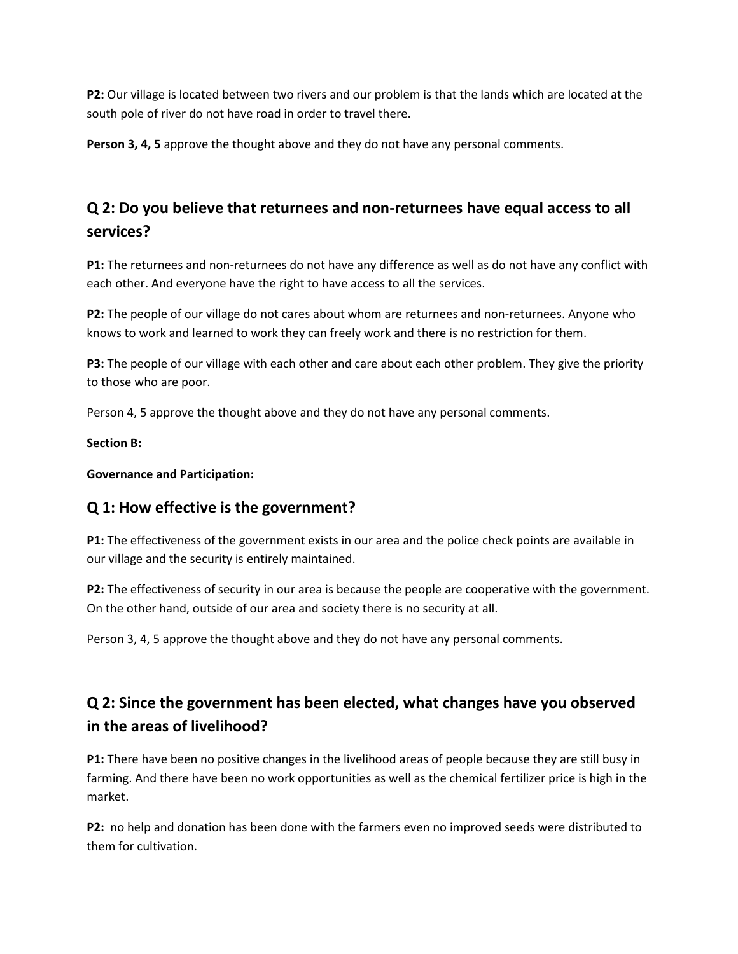**P2:** Our village is located between two rivers and our problem is that the lands which are located at the south pole of river do not have road in order to travel there.

**Person 3, 4, 5** approve the thought above and they do not have any personal comments.

# **Q 2: Do you believe that returnees and non-returnees have equal access to all services?**

**P1:** The returnees and non-returnees do not have any difference as well as do not have any conflict with each other. And everyone have the right to have access to all the services.

P2: The people of our village do not cares about whom are returnees and non-returnees. Anyone who knows to work and learned to work they can freely work and there is no restriction for them.

**P3:** The people of our village with each other and care about each other problem. They give the priority to those who are poor.

Person 4, 5 approve the thought above and they do not have any personal comments.

**Section B:** 

**Governance and Participation:** 

# **Q 1: How effective is the government?**

**P1:** The effectiveness of the government exists in our area and the police check points are available in our village and the security is entirely maintained.

**P2:** The effectiveness of security in our area is because the people are cooperative with the government. On the other hand, outside of our area and society there is no security at all.

Person 3, 4, 5 approve the thought above and they do not have any personal comments.

# **Q 2: Since the government has been elected, what changes have you observed in the areas of livelihood?**

**P1:** There have been no positive changes in the livelihood areas of people because they are still busy in farming. And there have been no work opportunities as well as the chemical fertilizer price is high in the market.

**P2:** no help and donation has been done with the farmers even no improved seeds were distributed to them for cultivation.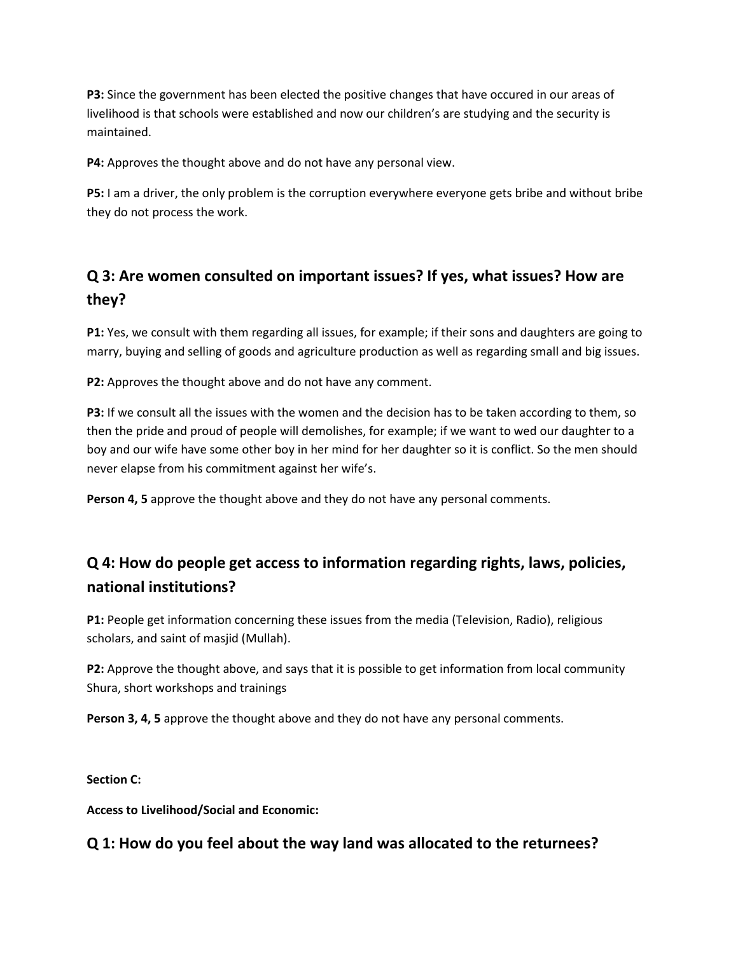**P3:** Since the government has been elected the positive changes that have occured in our areas of livelihood is that schools were established and now our children's are studying and the security is maintained.

**P4:** Approves the thought above and do not have any personal view.

**P5:** I am a driver, the only problem is the corruption everywhere everyone gets bribe and without bribe they do not process the work.

# **Q 3: Are women consulted on important issues? If yes, what issues? How are they?**

**P1:** Yes, we consult with them regarding all issues, for example; if their sons and daughters are going to marry, buying and selling of goods and agriculture production as well as regarding small and big issues.

**P2:** Approves the thought above and do not have any comment.

**P3:** If we consult all the issues with the women and the decision has to be taken according to them, so then the pride and proud of people will demolishes, for example; if we want to wed our daughter to a boy and our wife have some other boy in her mind for her daughter so it is conflict. So the men should never elapse from his commitment against her wife's.

**Person 4, 5** approve the thought above and they do not have any personal comments.

# **Q 4: How do people get access to information regarding rights, laws, policies, national institutions?**

**P1:** People get information concerning these issues from the media (Television, Radio), religious scholars, and saint of masjid (Mullah).

**P2:** Approve the thought above, and says that it is possible to get information from local community Shura, short workshops and trainings

**Person 3, 4, 5** approve the thought above and they do not have any personal comments.

**Section C:** 

**Access to Livelihood/Social and Economic:**

# **Q 1: How do you feel about the way land was allocated to the returnees?**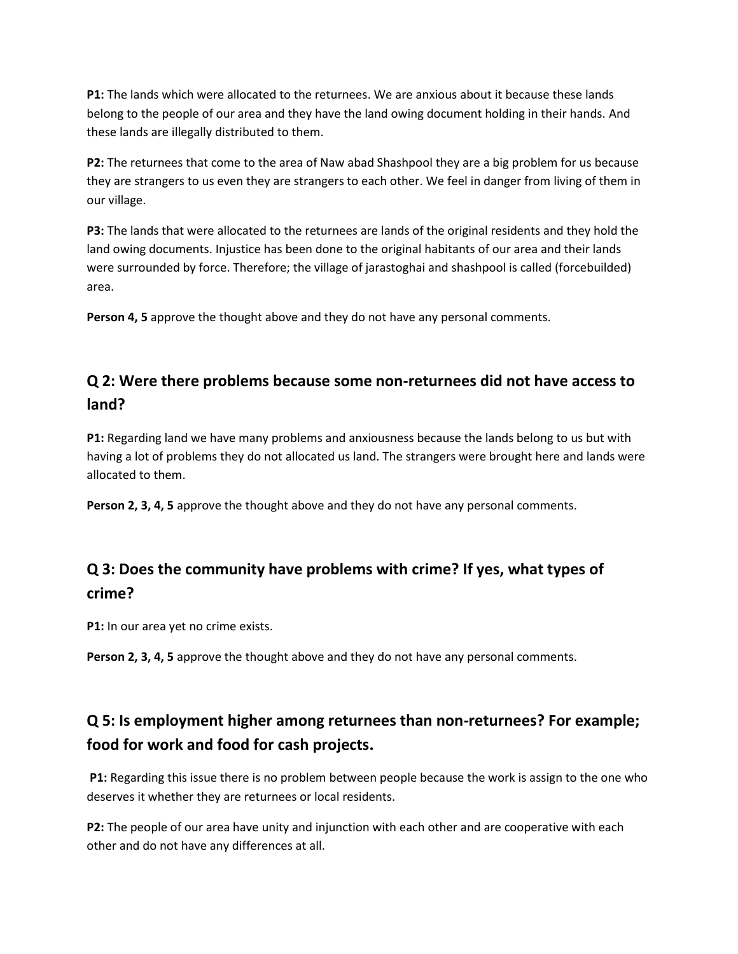**P1:** The lands which were allocated to the returnees. We are anxious about it because these lands belong to the people of our area and they have the land owing document holding in their hands. And these lands are illegally distributed to them.

**P2:** The returnees that come to the area of Naw abad Shashpool they are a big problem for us because they are strangers to us even they are strangers to each other. We feel in danger from living of them in our village.

**P3:** The lands that were allocated to the returnees are lands of the original residents and they hold the land owing documents. Injustice has been done to the original habitants of our area and their lands were surrounded by force. Therefore; the village of jarastoghai and shashpool is called (forcebuilded) area.

**Person 4, 5** approve the thought above and they do not have any personal comments.

# **Q 2: Were there problems because some non-returnees did not have access to land?**

**P1:** Regarding land we have many problems and anxiousness because the lands belong to us but with having a lot of problems they do not allocated us land. The strangers were brought here and lands were allocated to them.

**Person 2, 3, 4, 5** approve the thought above and they do not have any personal comments.

# **Q 3: Does the community have problems with crime? If yes, what types of crime?**

**P1:** In our area yet no crime exists.

**Person 2, 3, 4, 5** approve the thought above and they do not have any personal comments.

# **Q 5: Is employment higher among returnees than non-returnees? For example; food for work and food for cash projects.**

**P1:** Regarding this issue there is no problem between people because the work is assign to the one who deserves it whether they are returnees or local residents.

**P2:** The people of our area have unity and injunction with each other and are cooperative with each other and do not have any differences at all.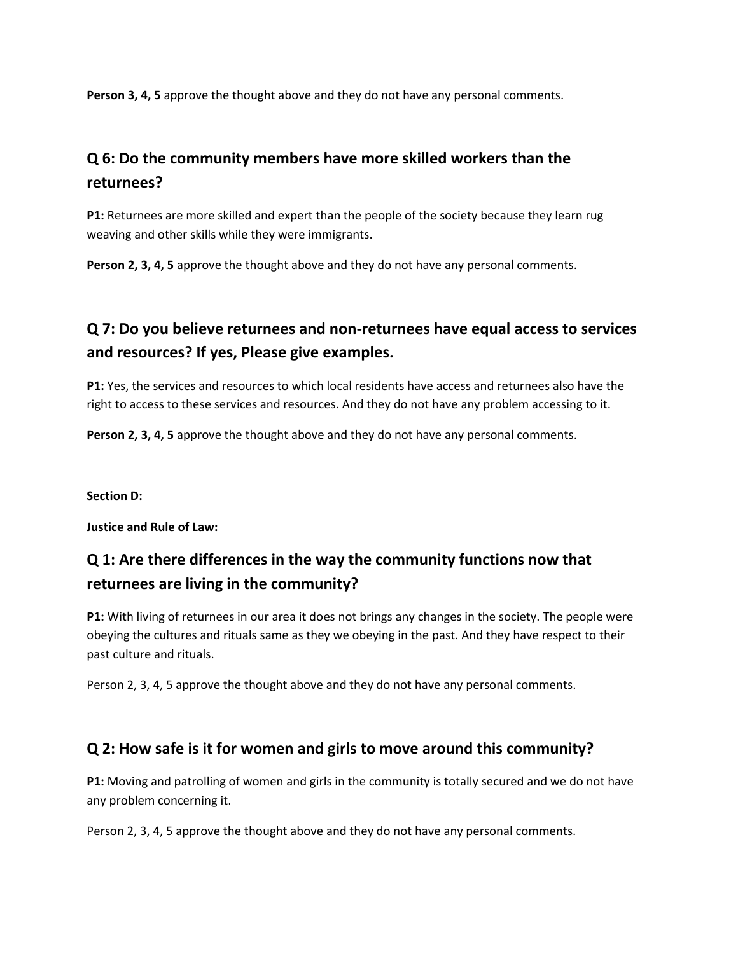**Person 3, 4, 5** approve the thought above and they do not have any personal comments.

# **Q 6: Do the community members have more skilled workers than the returnees?**

**P1:** Returnees are more skilled and expert than the people of the society because they learn rug weaving and other skills while they were immigrants.

**Person 2, 3, 4, 5** approve the thought above and they do not have any personal comments.

# **Q 7: Do you believe returnees and non-returnees have equal access to services and resources? If yes, Please give examples.**

**P1:** Yes, the services and resources to which local residents have access and returnees also have the right to access to these services and resources. And they do not have any problem accessing to it.

**Person 2, 3, 4, 5** approve the thought above and they do not have any personal comments.

**Section D:** 

**Justice and Rule of Law:**

# **Q 1: Are there differences in the way the community functions now that returnees are living in the community?**

**P1:** With living of returnees in our area it does not brings any changes in the society. The people were obeying the cultures and rituals same as they we obeying in the past. And they have respect to their past culture and rituals.

Person 2, 3, 4, 5 approve the thought above and they do not have any personal comments.

# **Q 2: How safe is it for women and girls to move around this community?**

**P1:** Moving and patrolling of women and girls in the community is totally secured and we do not have any problem concerning it.

Person 2, 3, 4, 5 approve the thought above and they do not have any personal comments.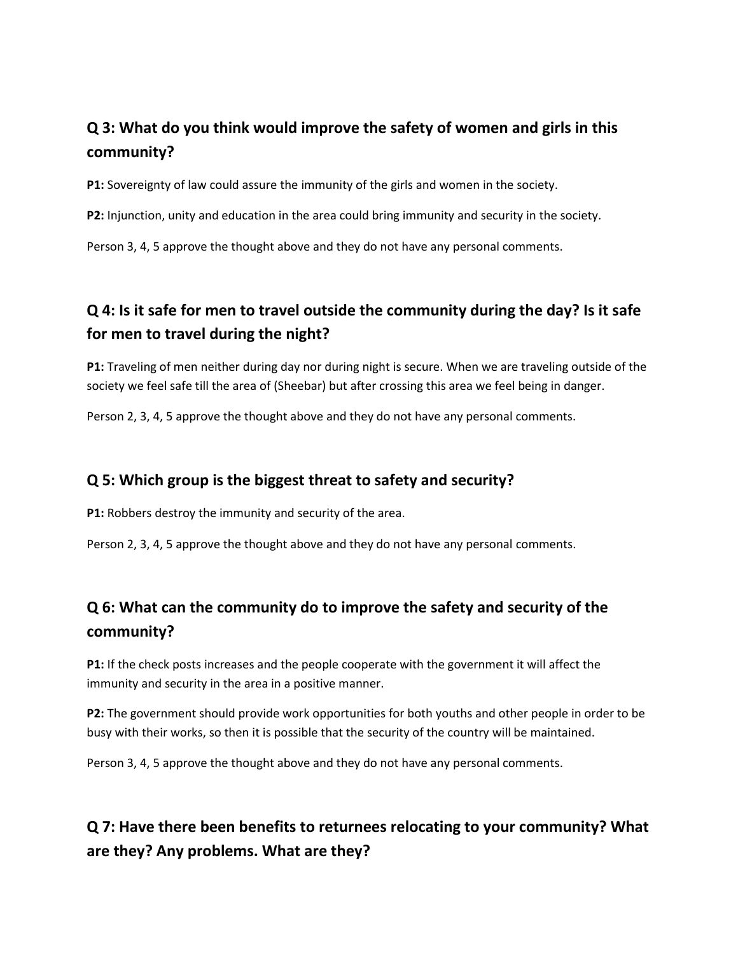# **Q 3: What do you think would improve the safety of women and girls in this community?**

**P1:** Sovereignty of law could assure the immunity of the girls and women in the society.

**P2:** Injunction, unity and education in the area could bring immunity and security in the society.

Person 3, 4, 5 approve the thought above and they do not have any personal comments.

# **Q 4: Is it safe for men to travel outside the community during the day? Is it safe for men to travel during the night?**

**P1:** Traveling of men neither during day nor during night is secure. When we are traveling outside of the society we feel safe till the area of (Sheebar) but after crossing this area we feel being in danger.

Person 2, 3, 4, 5 approve the thought above and they do not have any personal comments.

# **Q 5: Which group is the biggest threat to safety and security?**

**P1:** Robbers destroy the immunity and security of the area.

Person 2, 3, 4, 5 approve the thought above and they do not have any personal comments.

# **Q 6: What can the community do to improve the safety and security of the community?**

**P1:** If the check posts increases and the people cooperate with the government it will affect the immunity and security in the area in a positive manner.

**P2:** The government should provide work opportunities for both youths and other people in order to be busy with their works, so then it is possible that the security of the country will be maintained.

Person 3, 4, 5 approve the thought above and they do not have any personal comments.

# **Q 7: Have there been benefits to returnees relocating to your community? What are they? Any problems. What are they?**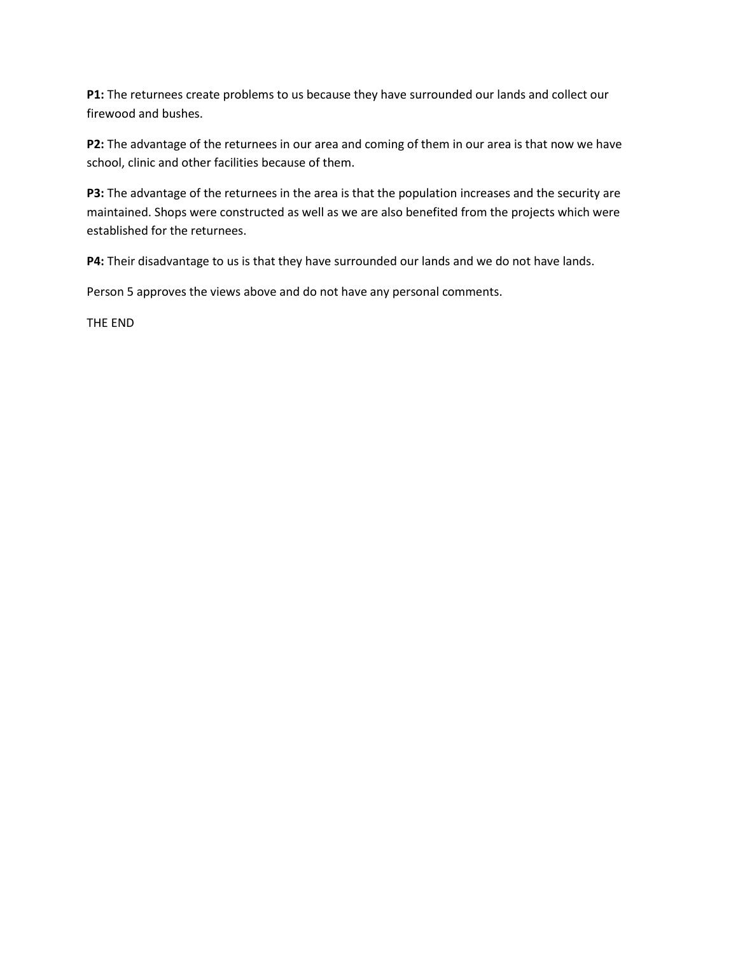**P1:** The returnees create problems to us because they have surrounded our lands and collect our firewood and bushes.

**P2:** The advantage of the returnees in our area and coming of them in our area is that now we have school, clinic and other facilities because of them.

**P3:** The advantage of the returnees in the area is that the population increases and the security are maintained. Shops were constructed as well as we are also benefited from the projects which were established for the returnees.

**P4:** Their disadvantage to us is that they have surrounded our lands and we do not have lands.

Person 5 approves the views above and do not have any personal comments.

THE END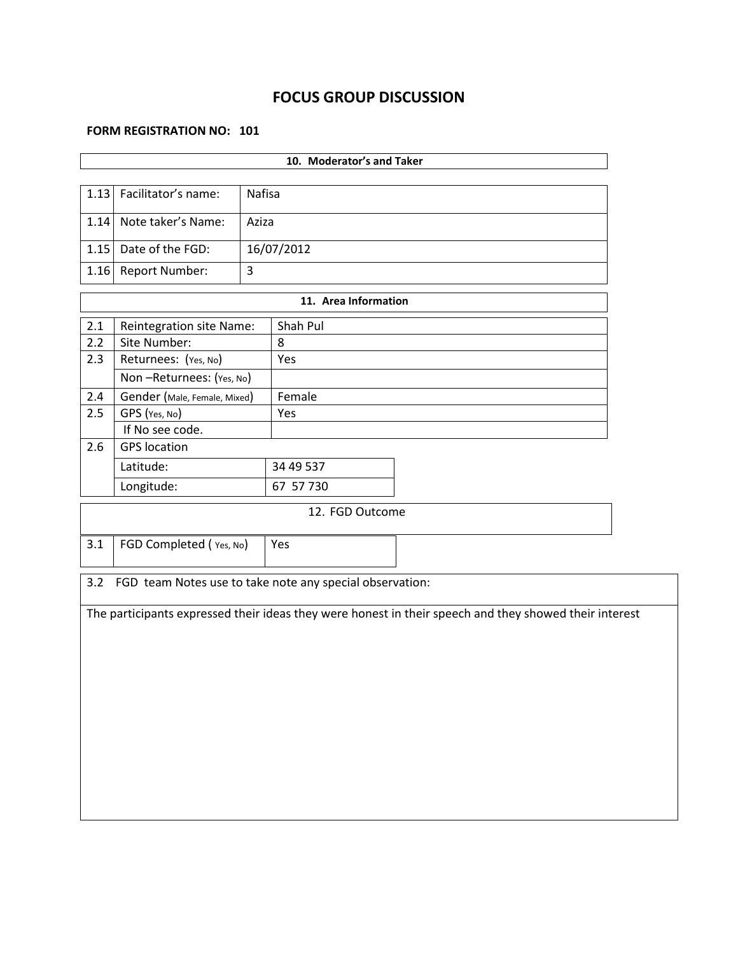# **FOCUS GROUP DISCUSSION**

#### **FORM REGISTRATION NO: 101**

| 10. Moderator's and Taker             |                                                          |       |                      |                                                                                                        |  |  |  |  |  |  |
|---------------------------------------|----------------------------------------------------------|-------|----------------------|--------------------------------------------------------------------------------------------------------|--|--|--|--|--|--|
| 1.13<br>Facilitator's name:<br>Nafisa |                                                          |       |                      |                                                                                                        |  |  |  |  |  |  |
| 1.14                                  | Note taker's Name:                                       | Aziza |                      |                                                                                                        |  |  |  |  |  |  |
| 1.15                                  | Date of the FGD:                                         |       | 16/07/2012           |                                                                                                        |  |  |  |  |  |  |
| 1.16                                  | Report Number:                                           | 3     |                      |                                                                                                        |  |  |  |  |  |  |
|                                       |                                                          |       | 11. Area Information |                                                                                                        |  |  |  |  |  |  |
| 2.1                                   | Reintegration site Name:                                 |       | Shah Pul             |                                                                                                        |  |  |  |  |  |  |
| 2.2                                   | Site Number:                                             |       | 8                    |                                                                                                        |  |  |  |  |  |  |
| 2.3                                   | Returnees: (Yes, No)                                     |       | Yes                  |                                                                                                        |  |  |  |  |  |  |
|                                       | Non-Returnees: (Yes, No)                                 |       |                      |                                                                                                        |  |  |  |  |  |  |
| 2.4                                   | Gender (Male, Female, Mixed)                             |       | Female               |                                                                                                        |  |  |  |  |  |  |
| 2.5                                   | GPS (Yes, No)                                            |       | Yes                  |                                                                                                        |  |  |  |  |  |  |
|                                       | If No see code.                                          |       |                      |                                                                                                        |  |  |  |  |  |  |
| 2.6                                   | <b>GPS</b> location                                      |       |                      |                                                                                                        |  |  |  |  |  |  |
|                                       | Latitude:                                                |       | 34 49 537            |                                                                                                        |  |  |  |  |  |  |
| Longitude:<br>67 57 730               |                                                          |       |                      |                                                                                                        |  |  |  |  |  |  |
|                                       |                                                          |       | 12. FGD Outcome      |                                                                                                        |  |  |  |  |  |  |
| 3.1                                   | FGD Completed (Yes, No)<br>Yes                           |       |                      |                                                                                                        |  |  |  |  |  |  |
| 3.2                                   | FGD team Notes use to take note any special observation: |       |                      |                                                                                                        |  |  |  |  |  |  |
|                                       |                                                          |       |                      | The participants expressed their ideas they were honest in their speech and they showed their interest |  |  |  |  |  |  |
|                                       |                                                          |       |                      |                                                                                                        |  |  |  |  |  |  |
|                                       |                                                          |       |                      |                                                                                                        |  |  |  |  |  |  |
|                                       |                                                          |       |                      |                                                                                                        |  |  |  |  |  |  |
|                                       |                                                          |       |                      |                                                                                                        |  |  |  |  |  |  |
|                                       |                                                          |       |                      |                                                                                                        |  |  |  |  |  |  |
|                                       |                                                          |       |                      |                                                                                                        |  |  |  |  |  |  |
|                                       |                                                          |       |                      |                                                                                                        |  |  |  |  |  |  |
|                                       |                                                          |       |                      |                                                                                                        |  |  |  |  |  |  |
|                                       |                                                          |       |                      |                                                                                                        |  |  |  |  |  |  |
|                                       |                                                          |       |                      |                                                                                                        |  |  |  |  |  |  |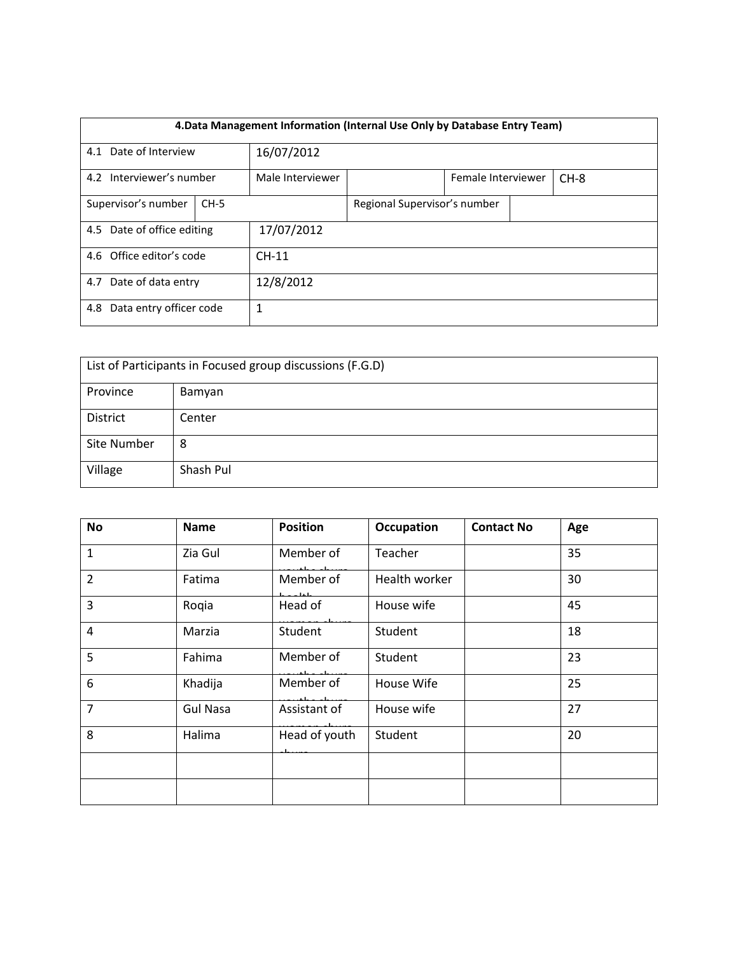|                                | 4. Data Management Information (Internal Use Only by Database Entry Team) |                  |                              |                    |  |        |  |  |  |
|--------------------------------|---------------------------------------------------------------------------|------------------|------------------------------|--------------------|--|--------|--|--|--|
| 4.1 Date of Interview          |                                                                           | 16/07/2012       |                              |                    |  |        |  |  |  |
| 4.2 Interviewer's number       |                                                                           | Male Interviewer |                              | Female Interviewer |  | $CH-8$ |  |  |  |
| Supervisor's number<br>$CH-5$  |                                                                           |                  | Regional Supervisor's number |                    |  |        |  |  |  |
| 4.5 Date of office editing     |                                                                           | 17/07/2012       |                              |                    |  |        |  |  |  |
| 4.6 Office editor's code       |                                                                           | $CH-11$          |                              |                    |  |        |  |  |  |
| 4.7 Date of data entry         |                                                                           | 12/8/2012        |                              |                    |  |        |  |  |  |
| Data entry officer code<br>4.8 |                                                                           | 1                |                              |                    |  |        |  |  |  |

| List of Participants in Focused group discussions (F.G.D) |           |  |  |  |  |
|-----------------------------------------------------------|-----------|--|--|--|--|
| Province<br>Bamyan                                        |           |  |  |  |  |
| District                                                  | Center    |  |  |  |  |
| Site Number                                               | 8         |  |  |  |  |
| Village                                                   | Shash Pul |  |  |  |  |

| No             | <b>Name</b>     | <b>Position</b>           | Occupation    | <b>Contact No</b> | Age |
|----------------|-----------------|---------------------------|---------------|-------------------|-----|
| $\mathbf{1}$   | Zia Gul         | Member of                 | Teacher       |                   | 35  |
| $\overline{2}$ | Fatima          | Member of<br>والفارد وأما | Health worker |                   | 30  |
| 3              | Rogia           | Head of                   | House wife    |                   | 45  |
| $\overline{4}$ | Marzia          | Student                   | Student       |                   | 18  |
| 5              | Fahima          | Member of                 | Student       |                   | 23  |
| 6              | Khadija         | Member of                 | House Wife    |                   | 25  |
| $\overline{7}$ | <b>Gul Nasa</b> | Assistant of              | House wife    |                   | 27  |
| 8              | Halima          | Head of youth             | Student       |                   | 20  |
|                |                 |                           |               |                   |     |
|                |                 |                           |               |                   |     |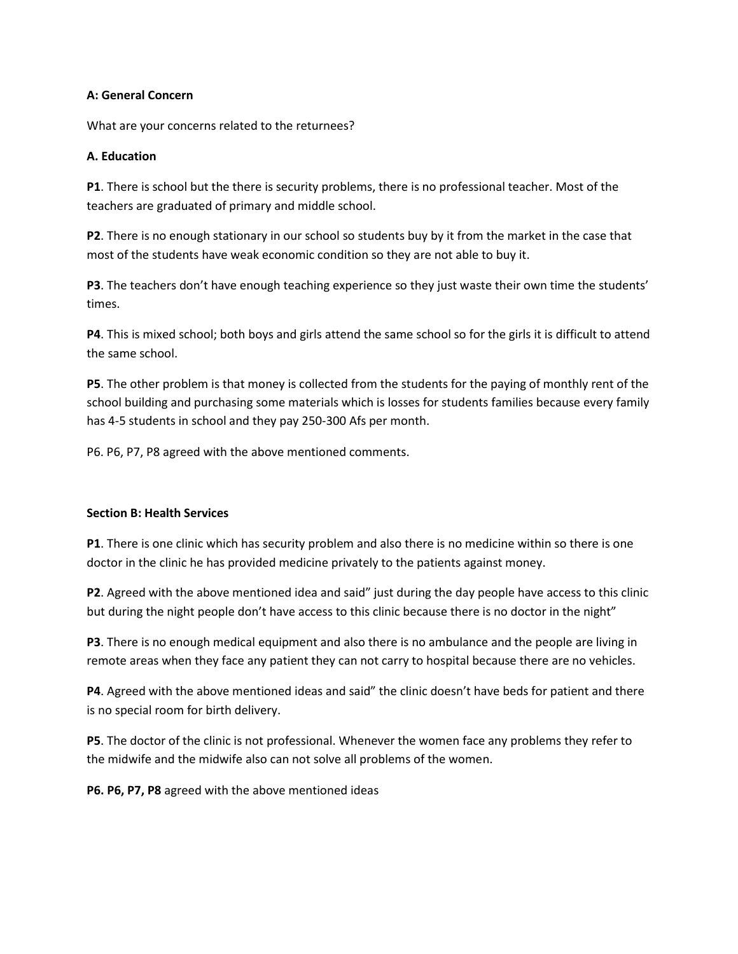### **A: General Concern**

What are your concerns related to the returnees?

### **A. Education**

**P1**. There is school but the there is security problems, there is no professional teacher. Most of the teachers are graduated of primary and middle school.

**P2**. There is no enough stationary in our school so students buy by it from the market in the case that most of the students have weak economic condition so they are not able to buy it.

**P3**. The teachers don't have enough teaching experience so they just waste their own time the students' times.

**P4**. This is mixed school; both boys and girls attend the same school so for the girls it is difficult to attend the same school.

**P5**. The other problem is that money is collected from the students for the paying of monthly rent of the school building and purchasing some materials which is losses for students families because every family has 4-5 students in school and they pay 250-300 Afs per month.

P6. P6, P7, P8 agreed with the above mentioned comments.

### **Section B: Health Services**

**P1**. There is one clinic which has security problem and also there is no medicine within so there is one doctor in the clinic he has provided medicine privately to the patients against money.

**P2**. Agreed with the above mentioned idea and said" just during the day people have access to this clinic but during the night people don't have access to this clinic because there is no doctor in the night"

**P3**. There is no enough medical equipment and also there is no ambulance and the people are living in remote areas when they face any patient they can not carry to hospital because there are no vehicles.

**P4**. Agreed with the above mentioned ideas and said" the clinic doesn't have beds for patient and there is no special room for birth delivery.

**P5**. The doctor of the clinic is not professional. Whenever the women face any problems they refer to the midwife and the midwife also can not solve all problems of the women.

**P6. P6, P7, P8** agreed with the above mentioned ideas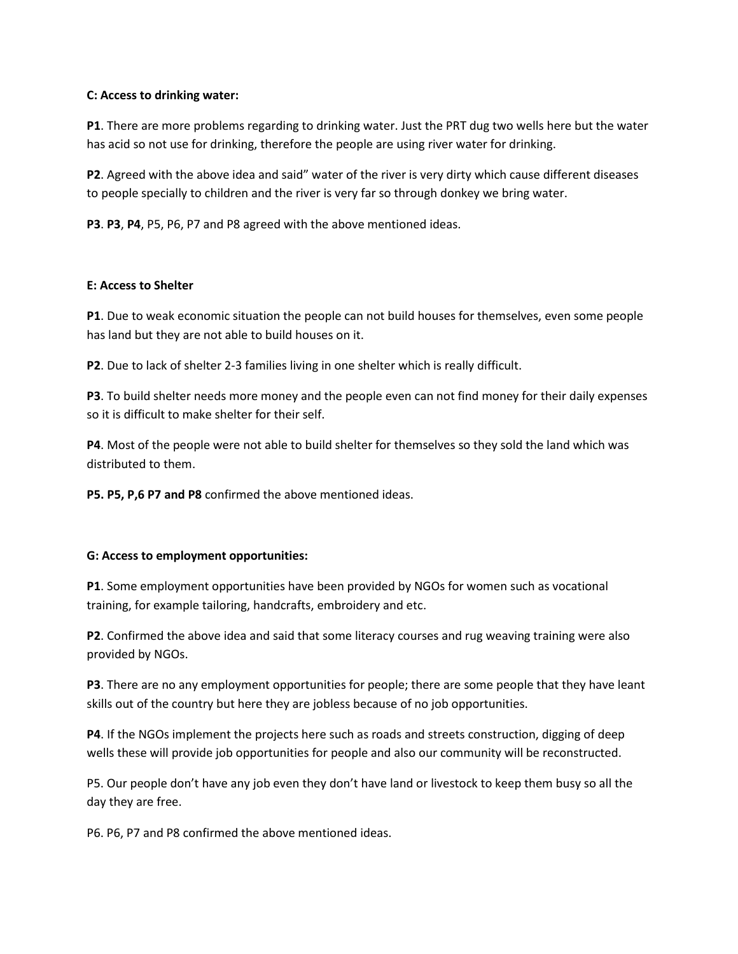### **C: Access to drinking water:**

**P1**. There are more problems regarding to drinking water. Just the PRT dug two wells here but the water has acid so not use for drinking, therefore the people are using river water for drinking.

**P2**. Agreed with the above idea and said" water of the river is very dirty which cause different diseases to people specially to children and the river is very far so through donkey we bring water.

**P3**. **P3**, **P4**, P5, P6, P7 and P8 agreed with the above mentioned ideas.

### **E: Access to Shelter**

**P1**. Due to weak economic situation the people can not build houses for themselves, even some people has land but they are not able to build houses on it.

**P2**. Due to lack of shelter 2-3 families living in one shelter which is really difficult.

**P3**. To build shelter needs more money and the people even can not find money for their daily expenses so it is difficult to make shelter for their self.

**P4**. Most of the people were not able to build shelter for themselves so they sold the land which was distributed to them.

**P5. P5, P,6 P7 and P8** confirmed the above mentioned ideas.

### **G: Access to employment opportunities:**

**P1**. Some employment opportunities have been provided by NGOs for women such as vocational training, for example tailoring, handcrafts, embroidery and etc.

**P2**. Confirmed the above idea and said that some literacy courses and rug weaving training were also provided by NGOs.

**P3**. There are no any employment opportunities for people; there are some people that they have leant skills out of the country but here they are jobless because of no job opportunities.

**P4**. If the NGOs implement the projects here such as roads and streets construction, digging of deep wells these will provide job opportunities for people and also our community will be reconstructed.

P5. Our people don't have any job even they don't have land or livestock to keep them busy so all the day they are free.

P6. P6, P7 and P8 confirmed the above mentioned ideas.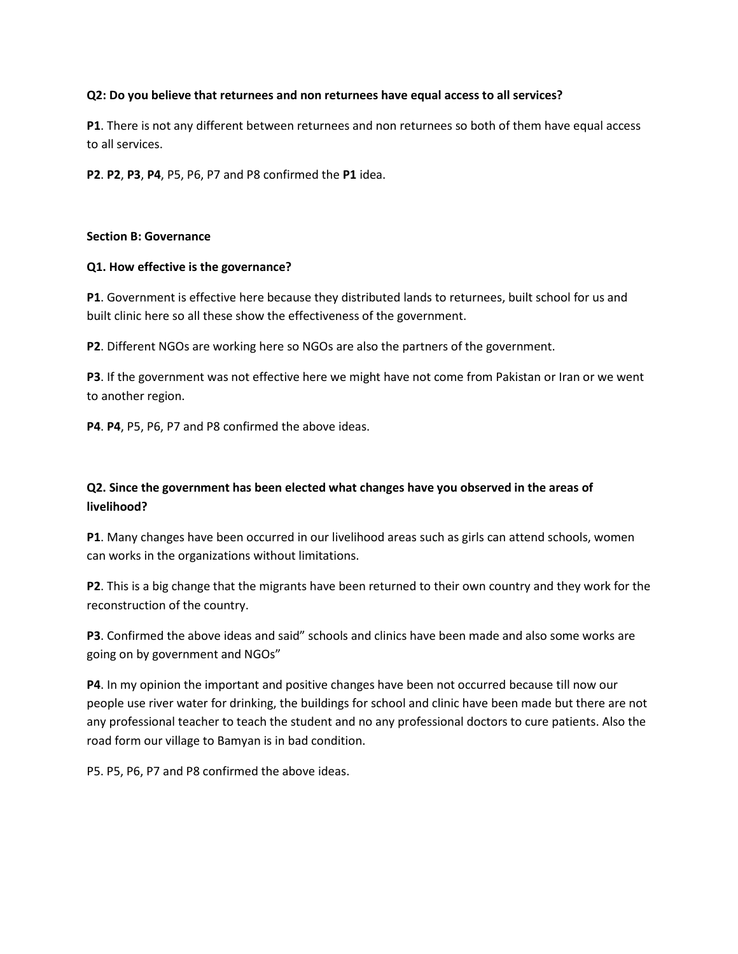### **Q2: Do you believe that returnees and non returnees have equal access to all services?**

**P1**. There is not any different between returnees and non returnees so both of them have equal access to all services.

**P2**. **P2**, **P3**, **P4**, P5, P6, P7 and P8 confirmed the **P1** idea.

#### **Section B: Governance**

### **Q1. How effective is the governance?**

**P1**. Government is effective here because they distributed lands to returnees, built school for us and built clinic here so all these show the effectiveness of the government.

**P2**. Different NGOs are working here so NGOs are also the partners of the government.

**P3**. If the government was not effective here we might have not come from Pakistan or Iran or we went to another region.

**P4**. **P4**, P5, P6, P7 and P8 confirmed the above ideas.

# **Q2. Since the government has been elected what changes have you observed in the areas of livelihood?**

**P1**. Many changes have been occurred in our livelihood areas such as girls can attend schools, women can works in the organizations without limitations.

**P2**. This is a big change that the migrants have been returned to their own country and they work for the reconstruction of the country.

**P3**. Confirmed the above ideas and said" schools and clinics have been made and also some works are going on by government and NGOs"

**P4**. In my opinion the important and positive changes have been not occurred because till now our people use river water for drinking, the buildings for school and clinic have been made but there are not any professional teacher to teach the student and no any professional doctors to cure patients. Also the road form our village to Bamyan is in bad condition.

P5. P5, P6, P7 and P8 confirmed the above ideas.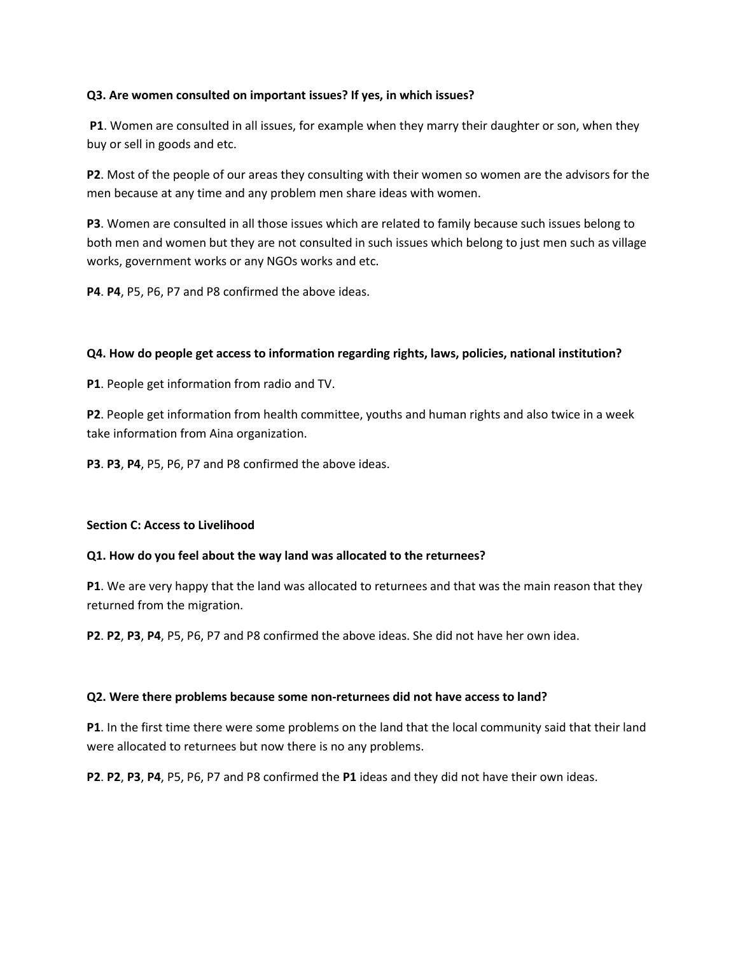### **Q3. Are women consulted on important issues? If yes, in which issues?**

**P1**. Women are consulted in all issues, for example when they marry their daughter or son, when they buy or sell in goods and etc.

**P2**. Most of the people of our areas they consulting with their women so women are the advisors for the men because at any time and any problem men share ideas with women.

**P3**. Women are consulted in all those issues which are related to family because such issues belong to both men and women but they are not consulted in such issues which belong to just men such as village works, government works or any NGOs works and etc.

**P4**. **P4**, P5, P6, P7 and P8 confirmed the above ideas.

## **Q4. How do people get access to information regarding rights, laws, policies, national institution?**

**P1**. People get information from radio and TV.

**P2**. People get information from health committee, youths and human rights and also twice in a week take information from Aina organization.

**P3**. **P3**, **P4**, P5, P6, P7 and P8 confirmed the above ideas.

### **Section C: Access to Livelihood**

### **Q1. How do you feel about the way land was allocated to the returnees?**

**P1**. We are very happy that the land was allocated to returnees and that was the main reason that they returned from the migration.

**P2**. **P2**, **P3**, **P4**, P5, P6, P7 and P8 confirmed the above ideas. She did not have her own idea.

### **Q2. Were there problems because some non-returnees did not have access to land?**

**P1**. In the first time there were some problems on the land that the local community said that their land were allocated to returnees but now there is no any problems.

**P2**. **P2**, **P3**, **P4**, P5, P6, P7 and P8 confirmed the **P1** ideas and they did not have their own ideas.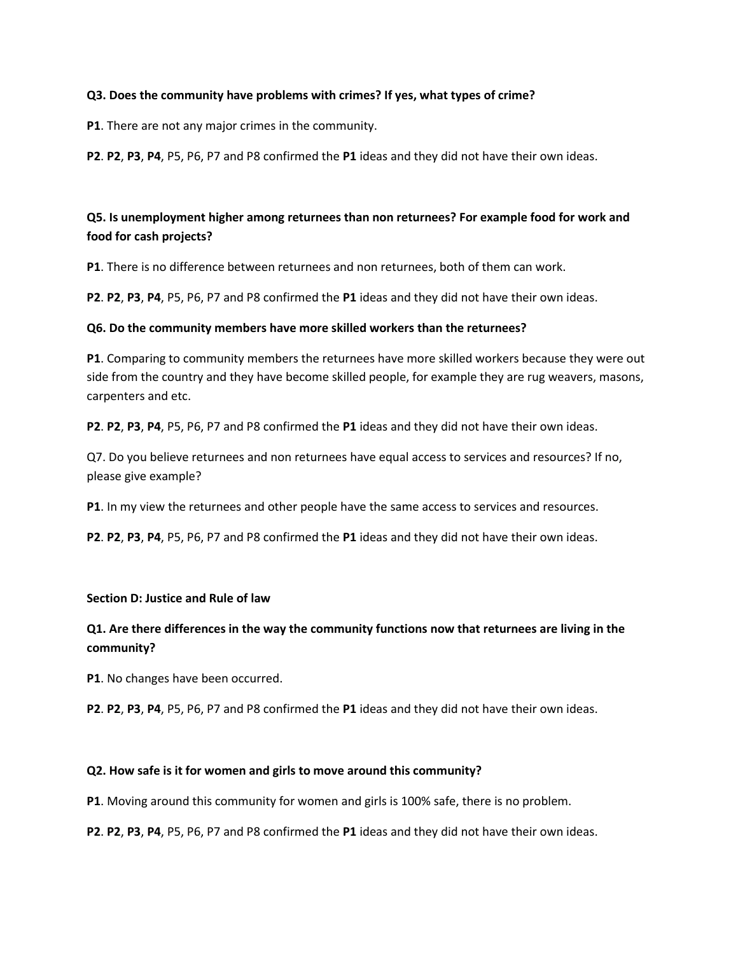### **Q3. Does the community have problems with crimes? If yes, what types of crime?**

**P1**. There are not any major crimes in the community.

**P2**. **P2**, **P3**, **P4**, P5, P6, P7 and P8 confirmed the **P1** ideas and they did not have their own ideas.

# **Q5. Is unemployment higher among returnees than non returnees? For example food for work and food for cash projects?**

**P1**. There is no difference between returnees and non returnees, both of them can work.

**P2**. **P2**, **P3**, **P4**, P5, P6, P7 and P8 confirmed the **P1** ideas and they did not have their own ideas.

### **Q6. Do the community members have more skilled workers than the returnees?**

**P1**. Comparing to community members the returnees have more skilled workers because they were out side from the country and they have become skilled people, for example they are rug weavers, masons, carpenters and etc.

**P2**. **P2**, **P3**, **P4**, P5, P6, P7 and P8 confirmed the **P1** ideas and they did not have their own ideas.

Q7. Do you believe returnees and non returnees have equal access to services and resources? If no, please give example?

**P1**. In my view the returnees and other people have the same access to services and resources.

**P2**. **P2**, **P3**, **P4**, P5, P6, P7 and P8 confirmed the **P1** ideas and they did not have their own ideas.

#### **Section D: Justice and Rule of law**

# **Q1. Are there differences in the way the community functions now that returnees are living in the community?**

**P1**. No changes have been occurred.

**P2**. **P2**, **P3**, **P4**, P5, P6, P7 and P8 confirmed the **P1** ideas and they did not have their own ideas.

### **Q2. How safe is it for women and girls to move around this community?**

**P1**. Moving around this community for women and girls is 100% safe, there is no problem.

**P2**. **P2**, **P3**, **P4**, P5, P6, P7 and P8 confirmed the **P1** ideas and they did not have their own ideas.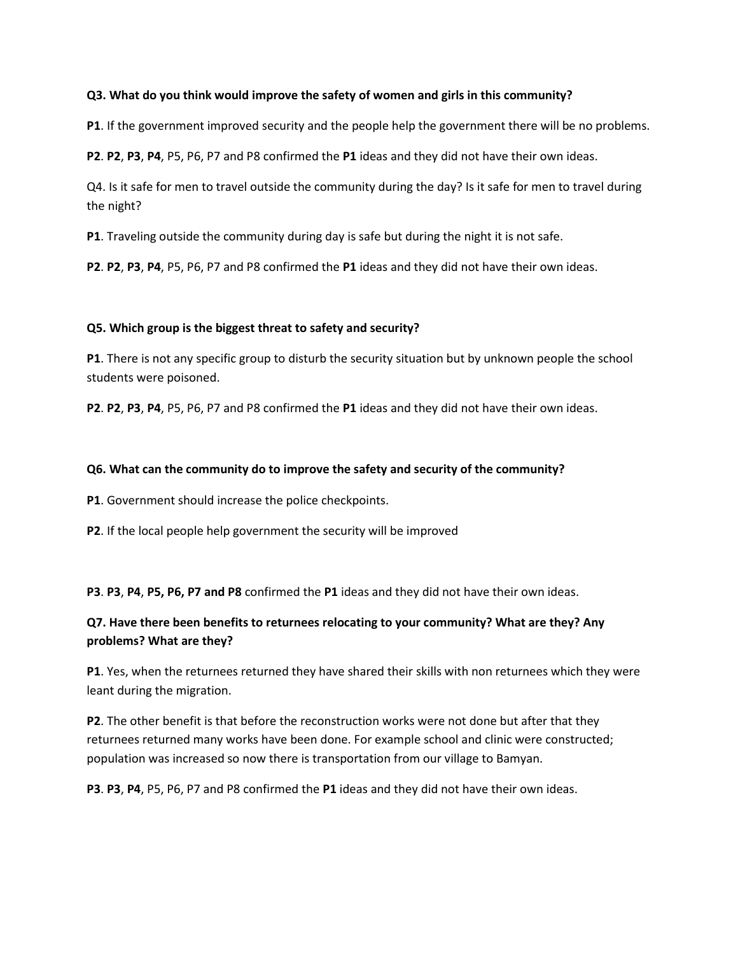### **Q3. What do you think would improve the safety of women and girls in this community?**

**P1**. If the government improved security and the people help the government there will be no problems.

**P2**. **P2**, **P3**, **P4**, P5, P6, P7 and P8 confirmed the **P1** ideas and they did not have their own ideas.

Q4. Is it safe for men to travel outside the community during the day? Is it safe for men to travel during the night?

**P1**. Traveling outside the community during day is safe but during the night it is not safe.

**P2**. **P2**, **P3**, **P4**, P5, P6, P7 and P8 confirmed the **P1** ideas and they did not have their own ideas.

### **Q5. Which group is the biggest threat to safety and security?**

**P1**. There is not any specific group to disturb the security situation but by unknown people the school students were poisoned.

**P2**. **P2**, **P3**, **P4**, P5, P6, P7 and P8 confirmed the **P1** ideas and they did not have their own ideas.

### **Q6. What can the community do to improve the safety and security of the community?**

**P1**. Government should increase the police checkpoints.

**P2**. If the local people help government the security will be improved

**P3**. **P3**, **P4**, **P5, P6, P7 and P8** confirmed the **P1** ideas and they did not have their own ideas.

# **Q7. Have there been benefits to returnees relocating to your community? What are they? Any problems? What are they?**

**P1**. Yes, when the returnees returned they have shared their skills with non returnees which they were leant during the migration.

**P2**. The other benefit is that before the reconstruction works were not done but after that they returnees returned many works have been done. For example school and clinic were constructed; population was increased so now there is transportation from our village to Bamyan.

**P3**. **P3**, **P4**, P5, P6, P7 and P8 confirmed the **P1** ideas and they did not have their own ideas.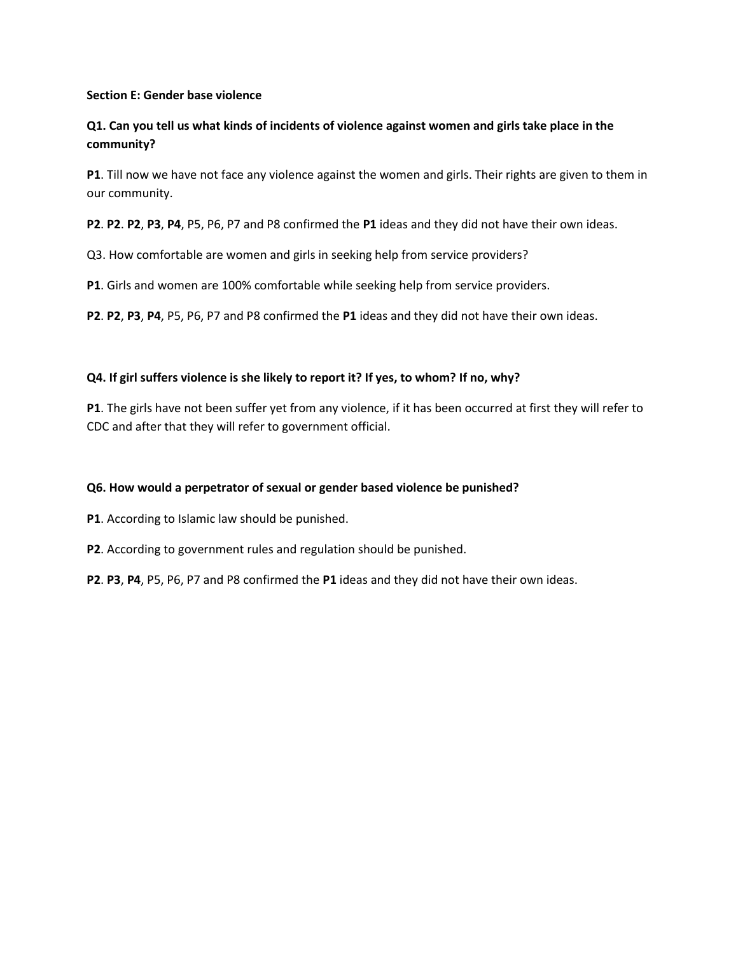### **Section E: Gender base violence**

# **Q1. Can you tell us what kinds of incidents of violence against women and girls take place in the community?**

**P1**. Till now we have not face any violence against the women and girls. Their rights are given to them in our community.

**P2**. **P2**. **P2**, **P3**, **P4**, P5, P6, P7 and P8 confirmed the **P1** ideas and they did not have their own ideas.

Q3. How comfortable are women and girls in seeking help from service providers?

**P1**. Girls and women are 100% comfortable while seeking help from service providers.

**P2**. **P2**, **P3**, **P4**, P5, P6, P7 and P8 confirmed the **P1** ideas and they did not have their own ideas.

## **Q4. If girl suffers violence is she likely to report it? If yes, to whom? If no, why?**

**P1**. The girls have not been suffer yet from any violence, if it has been occurred at first they will refer to CDC and after that they will refer to government official.

### **Q6. How would a perpetrator of sexual or gender based violence be punished?**

- **P1**. According to Islamic law should be punished.
- **P2**. According to government rules and regulation should be punished.
- **P2**. **P3**, **P4**, P5, P6, P7 and P8 confirmed the **P1** ideas and they did not have their own ideas.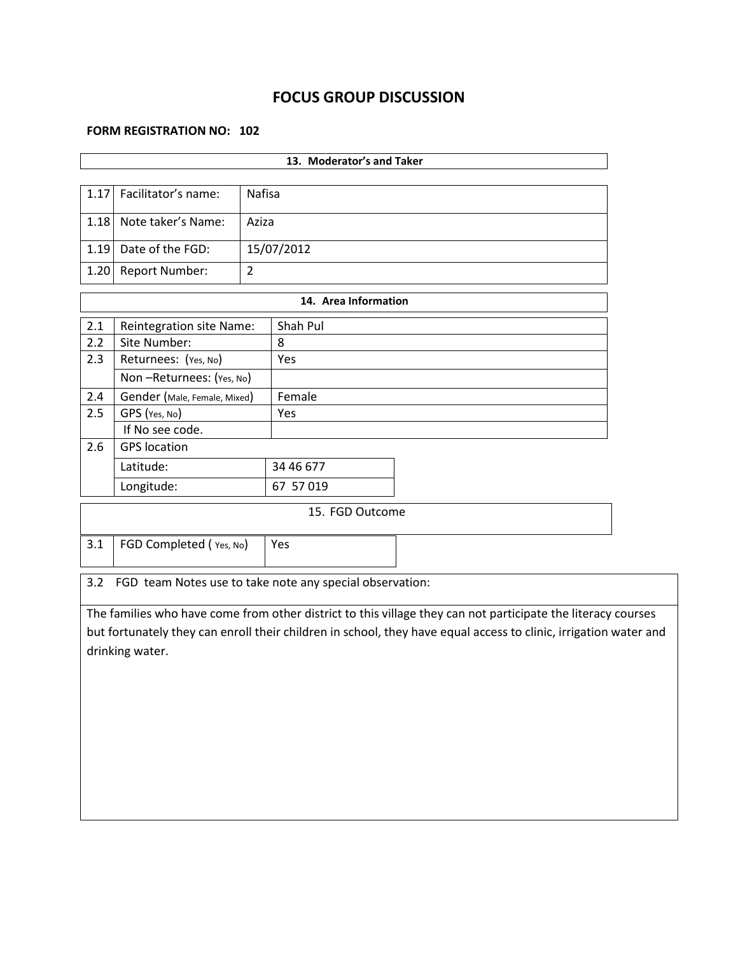# **FOCUS GROUP DISCUSSION**

#### **FORM REGISTRATION NO: 102**

| 13. Moderator's and Taker                                       |                                                                                                                  |                |                      |                                                                                                              |  |  |  |  |
|-----------------------------------------------------------------|------------------------------------------------------------------------------------------------------------------|----------------|----------------------|--------------------------------------------------------------------------------------------------------------|--|--|--|--|
|                                                                 |                                                                                                                  |                |                      |                                                                                                              |  |  |  |  |
| 1.17                                                            | Facilitator's name:                                                                                              | <b>Nafisa</b>  |                      |                                                                                                              |  |  |  |  |
| 1.18                                                            | Note taker's Name:                                                                                               | Aziza          |                      |                                                                                                              |  |  |  |  |
| 1.19                                                            | Date of the FGD:                                                                                                 |                | 15/07/2012           |                                                                                                              |  |  |  |  |
| 1.20                                                            | Report Number:                                                                                                   | $\overline{2}$ |                      |                                                                                                              |  |  |  |  |
|                                                                 |                                                                                                                  |                | 14. Area Information |                                                                                                              |  |  |  |  |
| 2.1                                                             | Reintegration site Name:                                                                                         |                | Shah Pul             |                                                                                                              |  |  |  |  |
| 2.2                                                             | Site Number:                                                                                                     |                | 8                    |                                                                                                              |  |  |  |  |
| 2.3                                                             | Returnees: (Yes, No)                                                                                             |                | Yes                  |                                                                                                              |  |  |  |  |
|                                                                 | Non-Returnees: (Yes, No)                                                                                         |                |                      |                                                                                                              |  |  |  |  |
| 2.4                                                             | Gender (Male, Female, Mixed)                                                                                     |                | Female               |                                                                                                              |  |  |  |  |
| 2.5                                                             | GPS (Yes, No)                                                                                                    |                | Yes                  |                                                                                                              |  |  |  |  |
|                                                                 | If No see code.                                                                                                  |                |                      |                                                                                                              |  |  |  |  |
| 2.6                                                             | <b>GPS</b> location                                                                                              |                |                      |                                                                                                              |  |  |  |  |
|                                                                 | Latitude:                                                                                                        |                | 34 46 677            |                                                                                                              |  |  |  |  |
|                                                                 | Longitude:<br>67 57 019                                                                                          |                |                      |                                                                                                              |  |  |  |  |
|                                                                 |                                                                                                                  |                | 15. FGD Outcome      |                                                                                                              |  |  |  |  |
|                                                                 |                                                                                                                  |                |                      |                                                                                                              |  |  |  |  |
| 3.1<br>FGD Completed (Yes, No)<br>Yes                           |                                                                                                                  |                |                      |                                                                                                              |  |  |  |  |
| 3.2<br>FGD team Notes use to take note any special observation: |                                                                                                                  |                |                      |                                                                                                              |  |  |  |  |
|                                                                 |                                                                                                                  |                |                      |                                                                                                              |  |  |  |  |
|                                                                 |                                                                                                                  |                |                      | The families who have come from other district to this village they can not participate the literacy courses |  |  |  |  |
|                                                                 | but fortunately they can enroll their children in school, they have equal access to clinic, irrigation water and |                |                      |                                                                                                              |  |  |  |  |
| drinking water.                                                 |                                                                                                                  |                |                      |                                                                                                              |  |  |  |  |
|                                                                 |                                                                                                                  |                |                      |                                                                                                              |  |  |  |  |
|                                                                 |                                                                                                                  |                |                      |                                                                                                              |  |  |  |  |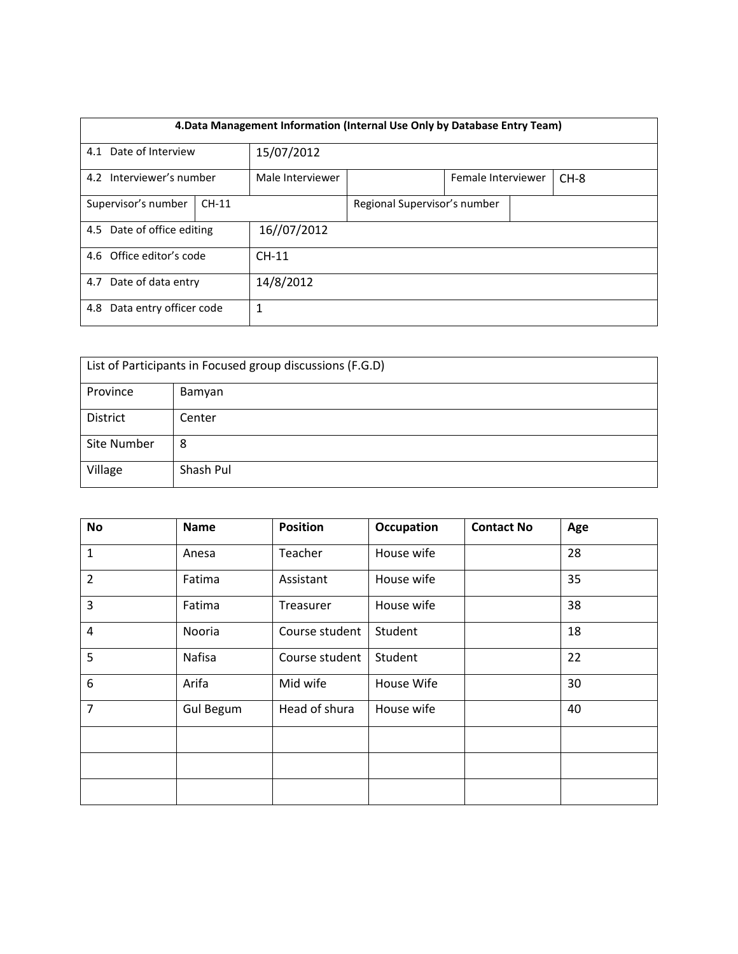|                                | 4. Data Management Information (Internal Use Only by Database Entry Team) |                  |                              |                    |  |        |  |  |  |
|--------------------------------|---------------------------------------------------------------------------|------------------|------------------------------|--------------------|--|--------|--|--|--|
|                                |                                                                           |                  |                              |                    |  |        |  |  |  |
| 4.1 Date of Interview          |                                                                           | 15/07/2012       |                              |                    |  |        |  |  |  |
| 4.2 Interviewer's number       |                                                                           | Male Interviewer |                              | Female Interviewer |  | $CH-8$ |  |  |  |
| Supervisor's number<br>$CH-11$ |                                                                           |                  | Regional Supervisor's number |                    |  |        |  |  |  |
| 4.5 Date of office editing     |                                                                           | 16//07/2012      |                              |                    |  |        |  |  |  |
| 4.6 Office editor's code       |                                                                           | $CH-11$          |                              |                    |  |        |  |  |  |
| 4.7 Date of data entry         |                                                                           | 14/8/2012        |                              |                    |  |        |  |  |  |
| Data entry officer code<br>4.8 |                                                                           |                  | 1                            |                    |  |        |  |  |  |

| List of Participants in Focused group discussions (F.G.D) |           |  |  |  |  |
|-----------------------------------------------------------|-----------|--|--|--|--|
| Province<br>Bamyan                                        |           |  |  |  |  |
| <b>District</b>                                           | Center    |  |  |  |  |
| Site Number                                               | 8         |  |  |  |  |
| Village                                                   | Shash Pul |  |  |  |  |

| No             | <b>Name</b>      | <b>Position</b> | Occupation | <b>Contact No</b> | Age |
|----------------|------------------|-----------------|------------|-------------------|-----|
| $\mathbf{1}$   | Anesa            | Teacher         | House wife |                   | 28  |
| $\overline{2}$ | Fatima           | Assistant       | House wife |                   | 35  |
| 3              | Fatima           | Treasurer       | House wife |                   | 38  |
| 4              | Nooria           | Course student  | Student    |                   | 18  |
| 5              | Nafisa           | Course student  | Student    |                   | 22  |
| 6              | Arifa            | Mid wife        | House Wife |                   | 30  |
| $\overline{7}$ | <b>Gul Begum</b> | Head of shura   | House wife |                   | 40  |
|                |                  |                 |            |                   |     |
|                |                  |                 |            |                   |     |
|                |                  |                 |            |                   |     |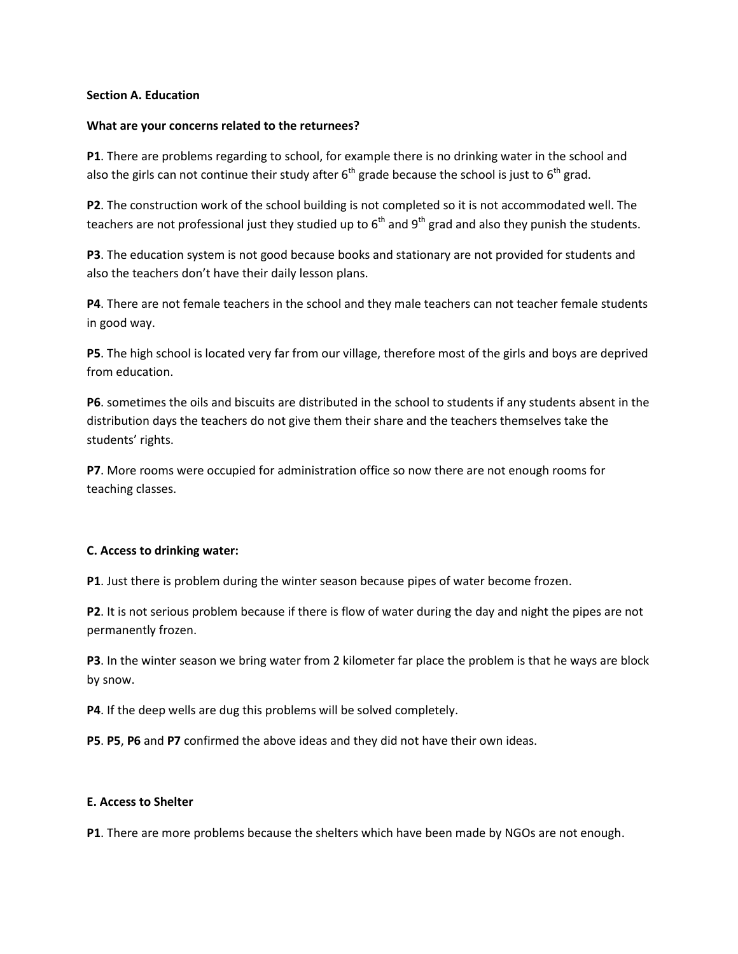### **Section A. Education**

#### **What are your concerns related to the returnees?**

**P1**. There are problems regarding to school, for example there is no drinking water in the school and also the girls can not continue their study after  $6<sup>th</sup>$  grade because the school is just to  $6<sup>th</sup>$  grad.

**P2**. The construction work of the school building is not completed so it is not accommodated well. The teachers are not professional just they studied up to  $6<sup>th</sup>$  and  $9<sup>th</sup>$  grad and also they punish the students.

**P3**. The education system is not good because books and stationary are not provided for students and also the teachers don't have their daily lesson plans.

**P4**. There are not female teachers in the school and they male teachers can not teacher female students in good way.

**P5**. The high school is located very far from our village, therefore most of the girls and boys are deprived from education.

**P6**. sometimes the oils and biscuits are distributed in the school to students if any students absent in the distribution days the teachers do not give them their share and the teachers themselves take the students' rights.

**P7**. More rooms were occupied for administration office so now there are not enough rooms for teaching classes.

### **C. Access to drinking water:**

**P1**. Just there is problem during the winter season because pipes of water become frozen.

**P2**. It is not serious problem because if there is flow of water during the day and night the pipes are not permanently frozen.

**P3**. In the winter season we bring water from 2 kilometer far place the problem is that he ways are block by snow.

**P4**. If the deep wells are dug this problems will be solved completely.

**P5**. **P5**, **P6** and **P7** confirmed the above ideas and they did not have their own ideas.

#### **E. Access to Shelter**

**P1**. There are more problems because the shelters which have been made by NGOs are not enough.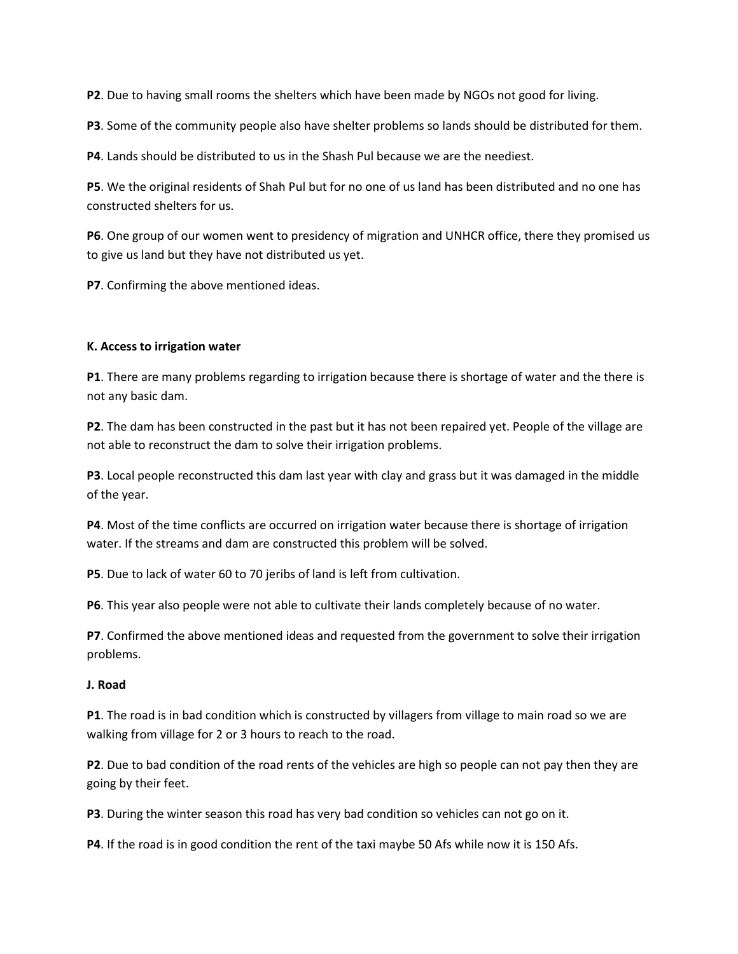**P2**. Due to having small rooms the shelters which have been made by NGOs not good for living.

**P3**. Some of the community people also have shelter problems so lands should be distributed for them.

**P4**. Lands should be distributed to us in the Shash Pul because we are the neediest.

**P5**. We the original residents of Shah Pul but for no one of us land has been distributed and no one has constructed shelters for us.

**P6**. One group of our women went to presidency of migration and UNHCR office, there they promised us to give us land but they have not distributed us yet.

**P7**. Confirming the above mentioned ideas.

#### **K. Access to irrigation water**

**P1**. There are many problems regarding to irrigation because there is shortage of water and the there is not any basic dam.

**P2**. The dam has been constructed in the past but it has not been repaired yet. People of the village are not able to reconstruct the dam to solve their irrigation problems.

**P3**. Local people reconstructed this dam last year with clay and grass but it was damaged in the middle of the year.

**P4**. Most of the time conflicts are occurred on irrigation water because there is shortage of irrigation water. If the streams and dam are constructed this problem will be solved.

**P5**. Due to lack of water 60 to 70 jeribs of land is left from cultivation.

**P6**. This year also people were not able to cultivate their lands completely because of no water.

**P7**. Confirmed the above mentioned ideas and requested from the government to solve their irrigation problems.

#### **J. Road**

**P1**. The road is in bad condition which is constructed by villagers from village to main road so we are walking from village for 2 or 3 hours to reach to the road.

**P2**. Due to bad condition of the road rents of the vehicles are high so people can not pay then they are going by their feet.

**P3**. During the winter season this road has very bad condition so vehicles can not go on it.

**P4**. If the road is in good condition the rent of the taxi maybe 50 Afs while now it is 150 Afs.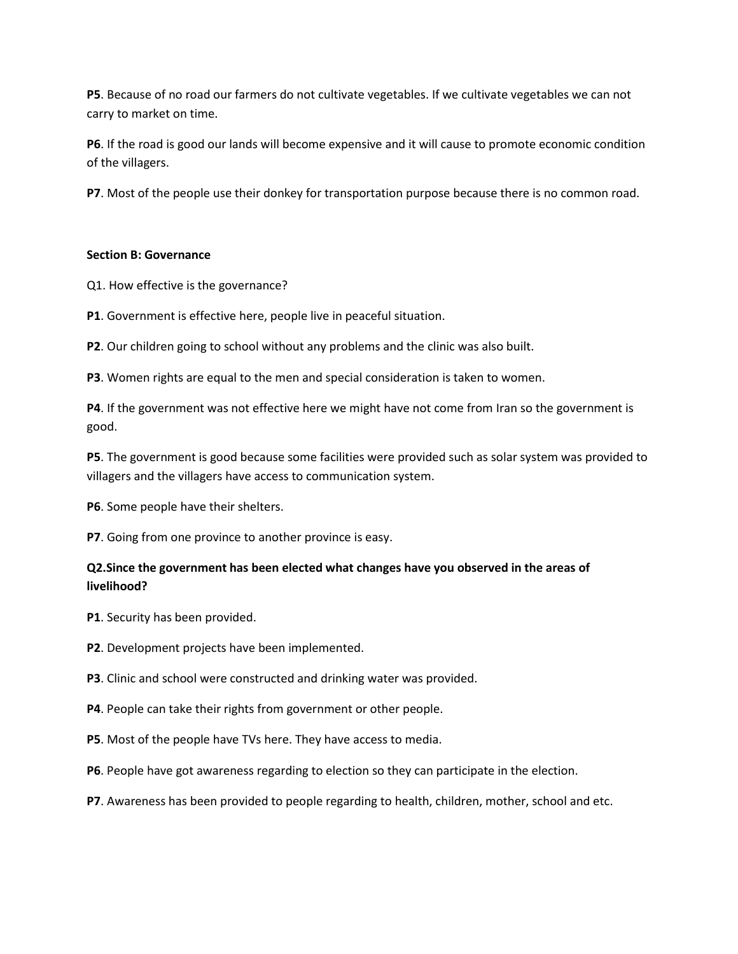**P5**. Because of no road our farmers do not cultivate vegetables. If we cultivate vegetables we can not carry to market on time.

**P6**. If the road is good our lands will become expensive and it will cause to promote economic condition of the villagers.

**P7**. Most of the people use their donkey for transportation purpose because there is no common road.

### **Section B: Governance**

Q1. How effective is the governance?

**P1**. Government is effective here, people live in peaceful situation.

**P2**. Our children going to school without any problems and the clinic was also built.

**P3**. Women rights are equal to the men and special consideration is taken to women.

**P4**. If the government was not effective here we might have not come from Iran so the government is good.

**P5**. The government is good because some facilities were provided such as solar system was provided to villagers and the villagers have access to communication system.

**P6**. Some people have their shelters.

**P7**. Going from one province to another province is easy.

# **Q2.Since the government has been elected what changes have you observed in the areas of livelihood?**

- **P1**. Security has been provided.
- **P2**. Development projects have been implemented.

**P3**. Clinic and school were constructed and drinking water was provided.

- **P4**. People can take their rights from government or other people.
- **P5**. Most of the people have TVs here. They have access to media.
- **P6**. People have got awareness regarding to election so they can participate in the election.
- **P7**. Awareness has been provided to people regarding to health, children, mother, school and etc.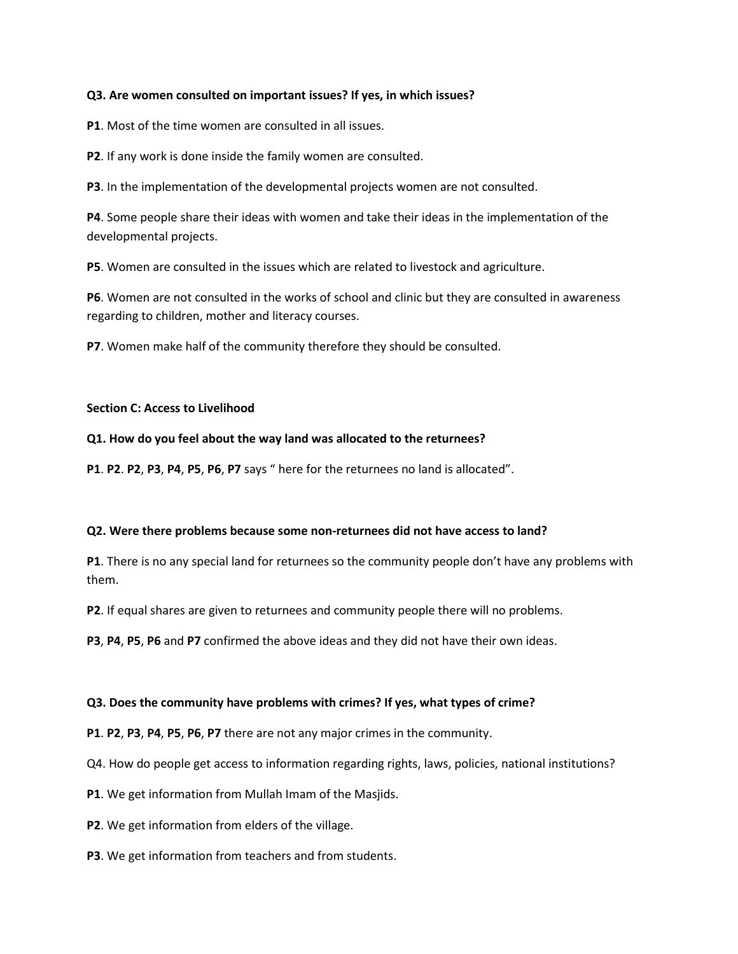### **Q3. Are women consulted on important issues? If yes, in which issues?**

**P1**. Most of the time women are consulted in all issues.

**P2**. If any work is done inside the family women are consulted.

**P3**. In the implementation of the developmental projects women are not consulted.

**P4**. Some people share their ideas with women and take their ideas in the implementation of the developmental projects.

**P5**. Women are consulted in the issues which are related to livestock and agriculture.

**P6**. Women are not consulted in the works of school and clinic but they are consulted in awareness regarding to children, mother and literacy courses.

**P7**. Women make half of the community therefore they should be consulted.

#### **Section C: Access to Livelihood**

### **Q1. How do you feel about the way land was allocated to the returnees?**

**P1**. **P2**. **P2**, **P3**, **P4**, **P5**, **P6**, **P7** says " here for the returnees no land is allocated".

#### **Q2. Were there problems because some non-returnees did not have access to land?**

**P1**. There is no any special land for returnees so the community people don't have any problems with them.

**P2**. If equal shares are given to returnees and community people there will no problems.

**P3**, **P4**, **P5**, **P6** and **P7** confirmed the above ideas and they did not have their own ideas.

### **Q3. Does the community have problems with crimes? If yes, what types of crime?**

**P1**. **P2**, **P3**, **P4**, **P5**, **P6**, **P7** there are not any major crimes in the community.

Q4. How do people get access to information regarding rights, laws, policies, national institutions?

**P1**. We get information from Mullah Imam of the Masjids.

**P2**. We get information from elders of the village.

**P3**. We get information from teachers and from students.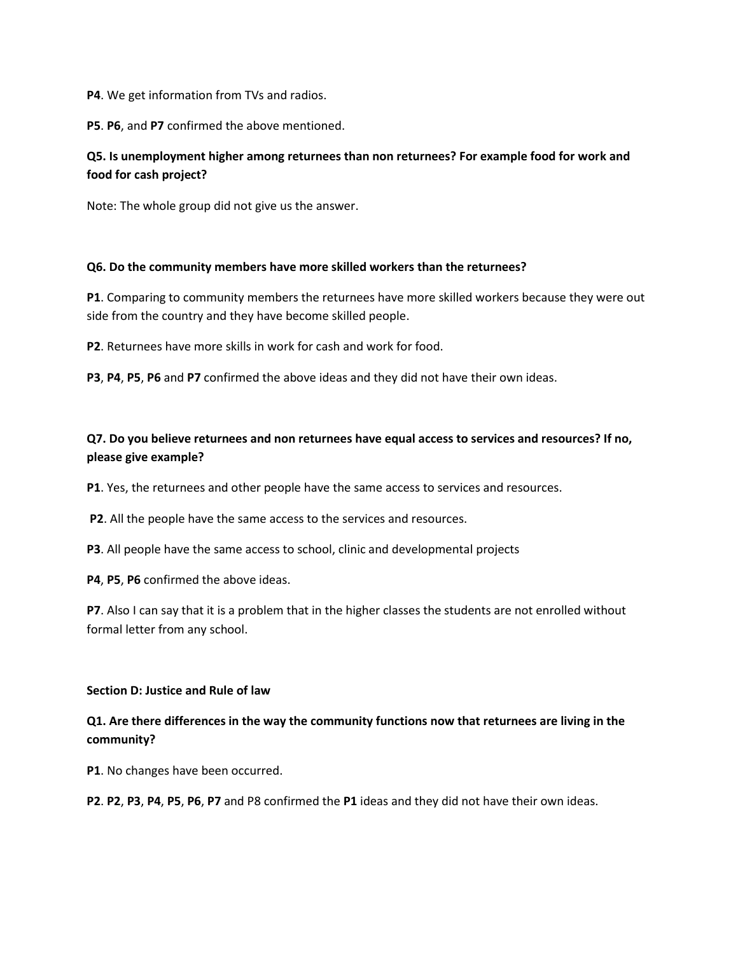**P4**. We get information from TVs and radios.

**P5**. **P6**, and **P7** confirmed the above mentioned.

# **Q5. Is unemployment higher among returnees than non returnees? For example food for work and food for cash project?**

Note: The whole group did not give us the answer.

### **Q6. Do the community members have more skilled workers than the returnees?**

**P1**. Comparing to community members the returnees have more skilled workers because they were out side from the country and they have become skilled people.

**P2**. Returnees have more skills in work for cash and work for food.

**P3**, **P4**, **P5**, **P6** and **P7** confirmed the above ideas and they did not have their own ideas.

# **Q7. Do you believe returnees and non returnees have equal access to services and resources? If no, please give example?**

**P1**. Yes, the returnees and other people have the same access to services and resources.

**P2**. All the people have the same access to the services and resources.

**P3**. All people have the same access to school, clinic and developmental projects

**P4**, **P5**, **P6** confirmed the above ideas.

**P7**. Also I can say that it is a problem that in the higher classes the students are not enrolled without formal letter from any school.

#### **Section D: Justice and Rule of law**

# **Q1. Are there differences in the way the community functions now that returnees are living in the community?**

**P1**. No changes have been occurred.

**P2**. **P2**, **P3**, **P4**, **P5**, **P6**, **P7** and P8 confirmed the **P1** ideas and they did not have their own ideas.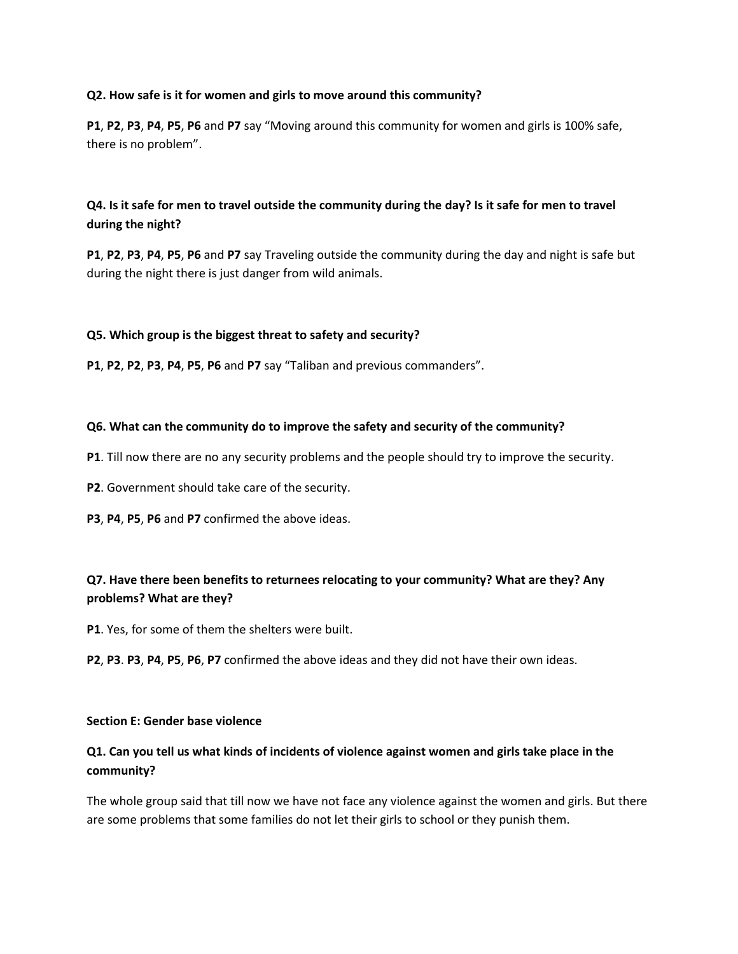### **Q2. How safe is it for women and girls to move around this community?**

**P1**, **P2**, **P3**, **P4**, **P5**, **P6** and **P7** say "Moving around this community for women and girls is 100% safe, there is no problem".

# **Q4. Is it safe for men to travel outside the community during the day? Is it safe for men to travel during the night?**

**P1**, **P2**, **P3**, **P4**, **P5**, **P6** and **P7** say Traveling outside the community during the day and night is safe but during the night there is just danger from wild animals.

### **Q5. Which group is the biggest threat to safety and security?**

**P1**, **P2**, **P2**, **P3**, **P4**, **P5**, **P6** and **P7** say "Taliban and previous commanders".

### **Q6. What can the community do to improve the safety and security of the community?**

- **P1**. Till now there are no any security problems and the people should try to improve the security.
- **P2**. Government should take care of the security.
- **P3**, **P4**, **P5**, **P6** and **P7** confirmed the above ideas.

# **Q7. Have there been benefits to returnees relocating to your community? What are they? Any problems? What are they?**

- **P1**. Yes, for some of them the shelters were built.
- **P2**, **P3**. **P3**, **P4**, **P5**, **P6**, **P7** confirmed the above ideas and they did not have their own ideas.

#### **Section E: Gender base violence**

# **Q1. Can you tell us what kinds of incidents of violence against women and girls take place in the community?**

The whole group said that till now we have not face any violence against the women and girls. But there are some problems that some families do not let their girls to school or they punish them.